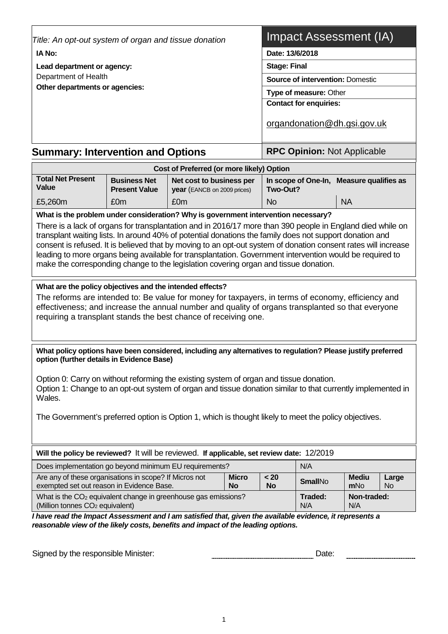| Title: An opt-out system of organ and tissue donation                                                                                                                                                                                                                                                                                                                                                                         |                                                                                                                           |                                                         |  |                     | Impact Assessment (IA)                   |                     |             |
|-------------------------------------------------------------------------------------------------------------------------------------------------------------------------------------------------------------------------------------------------------------------------------------------------------------------------------------------------------------------------------------------------------------------------------|---------------------------------------------------------------------------------------------------------------------------|---------------------------------------------------------|--|---------------------|------------------------------------------|---------------------|-------------|
| IA No:                                                                                                                                                                                                                                                                                                                                                                                                                        |                                                                                                                           |                                                         |  | Date: 13/6/2018     |                                          |                     |             |
| Lead department or agency:                                                                                                                                                                                                                                                                                                                                                                                                    |                                                                                                                           |                                                         |  | <b>Stage: Final</b> |                                          |                     |             |
| Department of Health                                                                                                                                                                                                                                                                                                                                                                                                          |                                                                                                                           |                                                         |  |                     | <b>Source of intervention: Domestic</b>  |                     |             |
| Other departments or agencies:                                                                                                                                                                                                                                                                                                                                                                                                |                                                                                                                           |                                                         |  |                     | Type of measure: Other                   |                     |             |
|                                                                                                                                                                                                                                                                                                                                                                                                                               |                                                                                                                           |                                                         |  |                     | <b>Contact for enquiries:</b>            |                     |             |
|                                                                                                                                                                                                                                                                                                                                                                                                                               |                                                                                                                           |                                                         |  |                     |                                          |                     |             |
|                                                                                                                                                                                                                                                                                                                                                                                                                               |                                                                                                                           |                                                         |  |                     | organdonation@dh.gsi.gov.uk              |                     |             |
| <b>Summary: Intervention and Options</b>                                                                                                                                                                                                                                                                                                                                                                                      |                                                                                                                           |                                                         |  |                     | <b>RPC Opinion: Not Applicable</b>       |                     |             |
|                                                                                                                                                                                                                                                                                                                                                                                                                               |                                                                                                                           | Cost of Preferred (or more likely) Option               |  |                     |                                          |                     |             |
| <b>Total Net Present</b><br>Value                                                                                                                                                                                                                                                                                                                                                                                             | <b>Business Net</b><br><b>Present Value</b>                                                                               | Net cost to business per<br>year (EANCB on 2009 prices) |  | Two-Out?            | In scope of One-In, Measure qualifies as |                     |             |
| £5,260m                                                                                                                                                                                                                                                                                                                                                                                                                       | £0 <sub>m</sub>                                                                                                           | £0m                                                     |  | <b>No</b>           |                                          | <b>NA</b>           |             |
| What is the problem under consideration? Why is government intervention necessary?                                                                                                                                                                                                                                                                                                                                            |                                                                                                                           |                                                         |  |                     |                                          |                     |             |
| transplant waiting lists. In around 40% of potential donations the family does not support donation and<br>consent is refused. It is believed that by moving to an opt-out system of donation consent rates will increase<br>leading to more organs being available for transplantation. Government intervention would be required to<br>make the corresponding change to the legislation covering organ and tissue donation. |                                                                                                                           |                                                         |  |                     |                                          |                     |             |
| The reforms are intended to: Be value for money for taxpayers, in terms of economy, efficiency and<br>effectiveness; and increase the annual number and quality of organs transplanted so that everyone<br>requiring a transplant stands the best chance of receiving one.                                                                                                                                                    |                                                                                                                           |                                                         |  |                     |                                          |                     |             |
| What policy options have been considered, including any alternatives to regulation? Please justify preferred<br>option (further details in Evidence Base)                                                                                                                                                                                                                                                                     |                                                                                                                           |                                                         |  |                     |                                          |                     |             |
| Option 0: Carry on without reforming the existing system of organ and tissue donation.<br>Option 1: Change to an opt-out system of organ and tissue donation similar to that currently implemented in<br>Wales.                                                                                                                                                                                                               |                                                                                                                           |                                                         |  |                     |                                          |                     |             |
| The Government's preferred option is Option 1, which is thought likely to meet the policy objectives.                                                                                                                                                                                                                                                                                                                         |                                                                                                                           |                                                         |  |                     |                                          |                     |             |
| Will the policy be reviewed? It will be reviewed. If applicable, set review date: 12/2019                                                                                                                                                                                                                                                                                                                                     |                                                                                                                           |                                                         |  |                     |                                          |                     |             |
| Does implementation go beyond minimum EU requirements?                                                                                                                                                                                                                                                                                                                                                                        |                                                                                                                           |                                                         |  | N/A                 |                                          |                     |             |
| Are any of these organisations in scope? If Micros not<br><b>Micro</b><br>exempted set out reason in Evidence Base.<br><b>No</b>                                                                                                                                                                                                                                                                                              |                                                                                                                           |                                                         |  | < 20<br><b>No</b>   | <b>SmallNo</b>                           | <b>Mediu</b><br>mNo | Large<br>No |
|                                                                                                                                                                                                                                                                                                                                                                                                                               | What is the CO <sub>2</sub> equivalent change in greenhouse gas emissions?<br>(Million tonnes CO <sub>2</sub> equivalent) |                                                         |  |                     | Traded:<br>N/A                           | Non-traded:<br>N/A  |             |
| I have read the Impact Assessment and I am satisfied that, given the available evidence, it represents a<br>reasonable view of the likely costs, benefits and impact of the leading options.                                                                                                                                                                                                                                  |                                                                                                                           |                                                         |  |                     |                                          |                     |             |
| Signed by the responsible Minister:<br>Date:                                                                                                                                                                                                                                                                                                                                                                                  |                                                                                                                           |                                                         |  |                     |                                          |                     |             |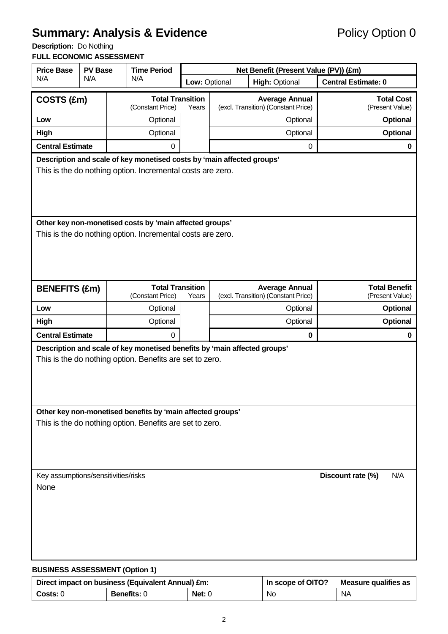# **Summary: Analysis & Evidence Policy Option 0**

**Description:** Do Nothing

#### **FULL ECONOMIC ASSESSMENT**

| <b>Price Base</b>                     | <b>PV Base</b>                                                                                                                       |  | <b>Time Period</b>                                                                                                                    |               |  | Net Benefit (Present Value (PV)) (£m)                        |                                         |                                      |
|---------------------------------------|--------------------------------------------------------------------------------------------------------------------------------------|--|---------------------------------------------------------------------------------------------------------------------------------------|---------------|--|--------------------------------------------------------------|-----------------------------------------|--------------------------------------|
| N/A                                   | N/A                                                                                                                                  |  | N/A                                                                                                                                   | Low: Optional |  | <b>High: Optional</b>                                        | <b>Central Estimate: 0</b>              |                                      |
| COSTS (£m)                            |                                                                                                                                      |  | <b>Total Transition</b><br>(Constant Price)                                                                                           | Years         |  | <b>Average Annual</b><br>(excl. Transition) (Constant Price) |                                         | <b>Total Cost</b><br>(Present Value) |
| Low                                   |                                                                                                                                      |  | Optional                                                                                                                              |               |  | Optional                                                     |                                         | <b>Optional</b>                      |
| High                                  |                                                                                                                                      |  | Optional                                                                                                                              |               |  | Optional                                                     |                                         | <b>Optional</b>                      |
| <b>Central Estimate</b>               |                                                                                                                                      |  | 0                                                                                                                                     |               |  | 0                                                            |                                         | 0                                    |
|                                       | Description and scale of key monetised costs by 'main affected groups'<br>This is the do nothing option. Incremental costs are zero. |  |                                                                                                                                       |               |  |                                                              |                                         |                                      |
|                                       |                                                                                                                                      |  | Other key non-monetised costs by 'main affected groups'<br>This is the do nothing option. Incremental costs are zero.                 |               |  |                                                              |                                         |                                      |
| <b>BENEFITS (£m)</b>                  |                                                                                                                                      |  | <b>Total Transition</b><br>(Constant Price)                                                                                           | Years         |  | <b>Average Annual</b><br>(excl. Transition) (Constant Price) | <b>Total Benefit</b><br>(Present Value) |                                      |
| Low                                   |                                                                                                                                      |  | Optional                                                                                                                              |               |  | Optional                                                     | Optional                                |                                      |
| High                                  |                                                                                                                                      |  | Optional                                                                                                                              |               |  | Optional                                                     | <b>Optional</b>                         |                                      |
| <b>Central Estimate</b>               |                                                                                                                                      |  | 0                                                                                                                                     |               |  | 0                                                            | 0                                       |                                      |
|                                       |                                                                                                                                      |  | Description and scale of key monetised benefits by 'main affected groups'<br>This is the do nothing option. Benefits are set to zero. |               |  |                                                              |                                         |                                      |
|                                       | Other key non-monetised benefits by 'main affected groups'<br>This is the do nothing option. Benefits are set to zero.               |  |                                                                                                                                       |               |  |                                                              |                                         |                                      |
| Key assumptions/sensitivities/risks   |                                                                                                                                      |  |                                                                                                                                       |               |  |                                                              | Discount rate (%)                       | N/A                                  |
| <b>None</b>                           |                                                                                                                                      |  |                                                                                                                                       |               |  |                                                              |                                         |                                      |
| <b>BUSINESS ASSESSMENT (Option 1)</b> |                                                                                                                                      |  |                                                                                                                                       |               |  |                                                              |                                         |                                      |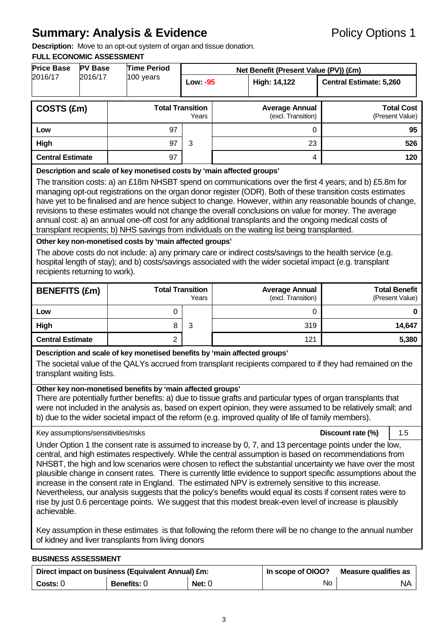# **Summary: Analysis & Evidence** Policy Options 1

**Description:** Move to an opt-out system of organ and tissue donation.

#### **FULL ECONOMIC ASSESSMENT**

| 2016/17<br>100 years<br><b>Low: -95</b><br>High: 14,122<br><b>Total Transition</b><br><b>Average Annual</b><br>COSTS (£m)<br>(excl. Transition)<br>Years<br>97<br>Low<br>0<br>97<br>3<br>High<br>23<br><b>Central Estimate</b><br>97<br>4<br>Description and scale of key monetised costs by 'main affected groups'<br>revisions to these estimates would not change the overall conclusions on value for money. The average<br>annual cost: a) an annual one-off cost for any additional transplants and the ongoing medical costs of<br>transplant recipients; b) NHS savings from individuals on the waiting list being transplanted.<br>Other key non-monetised costs by 'main affected groups'<br>The above costs do not include: a) any primary care or indirect costs/savings to the health service (e.g.<br>hospital length of stay); and b) costs/savings associated with the wider societal impact (e.g. transplant<br>recipients returning to work).<br><b>Total Transition</b><br><b>Average Annual</b><br><b>BENEFITS (£m)</b><br>(excl. Transition)<br>Years<br>$\Omega$<br>Low<br>0<br>8<br>3<br>319<br>High<br>$\overline{2}$<br><b>Central Estimate</b><br>121<br>Description and scale of key monetised benefits by 'main affected groups'<br>The societal value of the QALYs accrued from transplant recipients compared to if they had remained on the<br>transplant waiting lists.<br>Other key non-monetised benefits by 'main affected groups'<br>There are potentially further benefits: a) due to tissue grafts and particular types of organ transplants that<br>were not included in the analysis as, based on expert opinion, they were assumed to be relatively small; and<br>b) due to the wider societal impact of the reform (e.g. improved quality of life of family members).<br>Key assumptions/sensitivities/risks<br>Discount rate (%)<br>increase in the consent rate in England. The estimated NPV is extremely sensitive to this increase.<br>rise by just 0.6 percentage points. We suggest that this modest break-even level of increase is plausibly<br>achievable.<br>Key assumption in these estimates is that following the reform there will be no change to the annual number | <b>Price Base</b>                                                                                                                                                                                                                                                                                                                                                                                                                                                                                                                                                    | <b>PV Base</b> |  | <b>Time Period</b> | Net Benefit (Present Value (PV)) (£m) |  |  |                                         |                   |
|-------------------------------------------------------------------------------------------------------------------------------------------------------------------------------------------------------------------------------------------------------------------------------------------------------------------------------------------------------------------------------------------------------------------------------------------------------------------------------------------------------------------------------------------------------------------------------------------------------------------------------------------------------------------------------------------------------------------------------------------------------------------------------------------------------------------------------------------------------------------------------------------------------------------------------------------------------------------------------------------------------------------------------------------------------------------------------------------------------------------------------------------------------------------------------------------------------------------------------------------------------------------------------------------------------------------------------------------------------------------------------------------------------------------------------------------------------------------------------------------------------------------------------------------------------------------------------------------------------------------------------------------------------------------------------------------------------------------------------------------------------------------------------------------------------------------------------------------------------------------------------------------------------------------------------------------------------------------------------------------------------------------------------------------------------------------------------------------------------------------------------------------------------------------------------------------------------------------------------|----------------------------------------------------------------------------------------------------------------------------------------------------------------------------------------------------------------------------------------------------------------------------------------------------------------------------------------------------------------------------------------------------------------------------------------------------------------------------------------------------------------------------------------------------------------------|----------------|--|--------------------|---------------------------------------|--|--|-----------------------------------------|-------------------|
|                                                                                                                                                                                                                                                                                                                                                                                                                                                                                                                                                                                                                                                                                                                                                                                                                                                                                                                                                                                                                                                                                                                                                                                                                                                                                                                                                                                                                                                                                                                                                                                                                                                                                                                                                                                                                                                                                                                                                                                                                                                                                                                                                                                                                               | 2016/17                                                                                                                                                                                                                                                                                                                                                                                                                                                                                                                                                              |                |  |                    |                                       |  |  | <b>Central Estimate: 5,260</b>          |                   |
|                                                                                                                                                                                                                                                                                                                                                                                                                                                                                                                                                                                                                                                                                                                                                                                                                                                                                                                                                                                                                                                                                                                                                                                                                                                                                                                                                                                                                                                                                                                                                                                                                                                                                                                                                                                                                                                                                                                                                                                                                                                                                                                                                                                                                               |                                                                                                                                                                                                                                                                                                                                                                                                                                                                                                                                                                      |                |  |                    |                                       |  |  | (Present Value)                         | <b>Total Cost</b> |
|                                                                                                                                                                                                                                                                                                                                                                                                                                                                                                                                                                                                                                                                                                                                                                                                                                                                                                                                                                                                                                                                                                                                                                                                                                                                                                                                                                                                                                                                                                                                                                                                                                                                                                                                                                                                                                                                                                                                                                                                                                                                                                                                                                                                                               |                                                                                                                                                                                                                                                                                                                                                                                                                                                                                                                                                                      |                |  |                    |                                       |  |  |                                         | 95                |
|                                                                                                                                                                                                                                                                                                                                                                                                                                                                                                                                                                                                                                                                                                                                                                                                                                                                                                                                                                                                                                                                                                                                                                                                                                                                                                                                                                                                                                                                                                                                                                                                                                                                                                                                                                                                                                                                                                                                                                                                                                                                                                                                                                                                                               |                                                                                                                                                                                                                                                                                                                                                                                                                                                                                                                                                                      |                |  |                    |                                       |  |  |                                         | 526               |
|                                                                                                                                                                                                                                                                                                                                                                                                                                                                                                                                                                                                                                                                                                                                                                                                                                                                                                                                                                                                                                                                                                                                                                                                                                                                                                                                                                                                                                                                                                                                                                                                                                                                                                                                                                                                                                                                                                                                                                                                                                                                                                                                                                                                                               |                                                                                                                                                                                                                                                                                                                                                                                                                                                                                                                                                                      |                |  |                    |                                       |  |  |                                         | 120               |
|                                                                                                                                                                                                                                                                                                                                                                                                                                                                                                                                                                                                                                                                                                                                                                                                                                                                                                                                                                                                                                                                                                                                                                                                                                                                                                                                                                                                                                                                                                                                                                                                                                                                                                                                                                                                                                                                                                                                                                                                                                                                                                                                                                                                                               | The transition costs: a) an £18m NHSBT spend on communications over the first 4 years; and b) £5.8m for<br>managing opt-out registrations on the organ donor register (ODR). Both of these transition costs estimates<br>have yet to be finalised and are hence subject to change. However, within any reasonable bounds of change,                                                                                                                                                                                                                                  |                |  |                    |                                       |  |  |                                         |                   |
|                                                                                                                                                                                                                                                                                                                                                                                                                                                                                                                                                                                                                                                                                                                                                                                                                                                                                                                                                                                                                                                                                                                                                                                                                                                                                                                                                                                                                                                                                                                                                                                                                                                                                                                                                                                                                                                                                                                                                                                                                                                                                                                                                                                                                               |                                                                                                                                                                                                                                                                                                                                                                                                                                                                                                                                                                      |                |  |                    |                                       |  |  | <b>Total Benefit</b><br>(Present Value) |                   |
|                                                                                                                                                                                                                                                                                                                                                                                                                                                                                                                                                                                                                                                                                                                                                                                                                                                                                                                                                                                                                                                                                                                                                                                                                                                                                                                                                                                                                                                                                                                                                                                                                                                                                                                                                                                                                                                                                                                                                                                                                                                                                                                                                                                                                               |                                                                                                                                                                                                                                                                                                                                                                                                                                                                                                                                                                      |                |  |                    |                                       |  |  |                                         | $\bf{0}$          |
|                                                                                                                                                                                                                                                                                                                                                                                                                                                                                                                                                                                                                                                                                                                                                                                                                                                                                                                                                                                                                                                                                                                                                                                                                                                                                                                                                                                                                                                                                                                                                                                                                                                                                                                                                                                                                                                                                                                                                                                                                                                                                                                                                                                                                               |                                                                                                                                                                                                                                                                                                                                                                                                                                                                                                                                                                      |                |  |                    |                                       |  |  |                                         | 14,647            |
|                                                                                                                                                                                                                                                                                                                                                                                                                                                                                                                                                                                                                                                                                                                                                                                                                                                                                                                                                                                                                                                                                                                                                                                                                                                                                                                                                                                                                                                                                                                                                                                                                                                                                                                                                                                                                                                                                                                                                                                                                                                                                                                                                                                                                               |                                                                                                                                                                                                                                                                                                                                                                                                                                                                                                                                                                      |                |  |                    |                                       |  |  |                                         | 5,380             |
|                                                                                                                                                                                                                                                                                                                                                                                                                                                                                                                                                                                                                                                                                                                                                                                                                                                                                                                                                                                                                                                                                                                                                                                                                                                                                                                                                                                                                                                                                                                                                                                                                                                                                                                                                                                                                                                                                                                                                                                                                                                                                                                                                                                                                               |                                                                                                                                                                                                                                                                                                                                                                                                                                                                                                                                                                      |                |  |                    |                                       |  |  |                                         |                   |
|                                                                                                                                                                                                                                                                                                                                                                                                                                                                                                                                                                                                                                                                                                                                                                                                                                                                                                                                                                                                                                                                                                                                                                                                                                                                                                                                                                                                                                                                                                                                                                                                                                                                                                                                                                                                                                                                                                                                                                                                                                                                                                                                                                                                                               |                                                                                                                                                                                                                                                                                                                                                                                                                                                                                                                                                                      |                |  |                    |                                       |  |  |                                         | 1.5               |
|                                                                                                                                                                                                                                                                                                                                                                                                                                                                                                                                                                                                                                                                                                                                                                                                                                                                                                                                                                                                                                                                                                                                                                                                                                                                                                                                                                                                                                                                                                                                                                                                                                                                                                                                                                                                                                                                                                                                                                                                                                                                                                                                                                                                                               | Under Option 1 the consent rate is assumed to increase by 0, 7, and 13 percentage points under the low,<br>central, and high estimates respectively. While the central assumption is based on recommendations from<br>NHSBT, the high and low scenarios were chosen to reflect the substantial uncertainty we have over the most<br>plausible change in consent rates. There is currently little evidence to support specific assumptions about the<br>Nevertheless, our analysis suggests that the policy's benefits would equal its costs if consent rates were to |                |  |                    |                                       |  |  |                                         |                   |
| of kidney and liver transplants from living donors<br><b>BUSINESS ASSESSMENT</b>                                                                                                                                                                                                                                                                                                                                                                                                                                                                                                                                                                                                                                                                                                                                                                                                                                                                                                                                                                                                                                                                                                                                                                                                                                                                                                                                                                                                                                                                                                                                                                                                                                                                                                                                                                                                                                                                                                                                                                                                                                                                                                                                              |                                                                                                                                                                                                                                                                                                                                                                                                                                                                                                                                                                      |                |  |                    |                                       |  |  |                                         |                   |

| Direct impact on business (Equivalent Annual) £m: |                    |        | In scope of OIOO? | Measure qualifies as |
|---------------------------------------------------|--------------------|--------|-------------------|----------------------|
| Costs: 0                                          | <b>Benefits: 0</b> | Net: 0 | No                | <b>NA</b>            |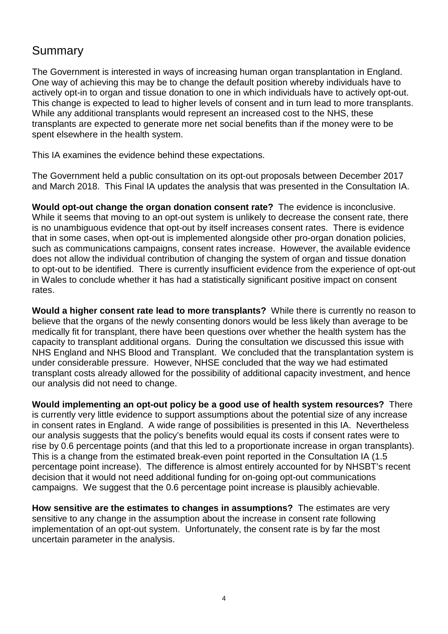## Summary

The Government is interested in ways of increasing human organ transplantation in England. One way of achieving this may be to change the default position whereby individuals have to actively opt-in to organ and tissue donation to one in which individuals have to actively opt-out. This change is expected to lead to higher levels of consent and in turn lead to more transplants. While any additional transplants would represent an increased cost to the NHS, these transplants are expected to generate more net social benefits than if the money were to be spent elsewhere in the health system.

This IA examines the evidence behind these expectations.

The Government held a public consultation on its opt-out proposals between December 2017 and March 2018. This Final IA updates the analysis that was presented in the Consultation IA.

**Would opt-out change the organ donation consent rate?** The evidence is inconclusive. While it seems that moving to an opt-out system is unlikely to decrease the consent rate, there is no unambiguous evidence that opt-out by itself increases consent rates. There is evidence that in some cases, when opt-out is implemented alongside other pro-organ donation policies, such as communications campaigns, consent rates increase. However, the available evidence does not allow the individual contribution of changing the system of organ and tissue donation to opt-out to be identified. There is currently insufficient evidence from the experience of opt-out in Wales to conclude whether it has had a statistically significant positive impact on consent rates.

**Would a higher consent rate lead to more transplants?** While there is currently no reason to believe that the organs of the newly consenting donors would be less likely than average to be medically fit for transplant, there have been questions over whether the health system has the capacity to transplant additional organs. During the consultation we discussed this issue with NHS England and NHS Blood and Transplant. We concluded that the transplantation system is under considerable pressure. However, NHSE concluded that the way we had estimated transplant costs already allowed for the possibility of additional capacity investment, and hence our analysis did not need to change.

**Would implementing an opt-out policy be a good use of health system resources?** There is currently very little evidence to support assumptions about the potential size of any increase in consent rates in England. A wide range of possibilities is presented in this IA. Nevertheless our analysis suggests that the policy's benefits would equal its costs if consent rates were to rise by 0.6 percentage points (and that this led to a proportionate increase in organ transplants). This is a change from the estimated break-even point reported in the Consultation IA (1.5 percentage point increase). The difference is almost entirely accounted for by NHSBT's recent decision that it would not need additional funding for on-going opt-out communications campaigns. We suggest that the 0.6 percentage point increase is plausibly achievable.

**How sensitive are the estimates to changes in assumptions?** The estimates are very sensitive to any change in the assumption about the increase in consent rate following implementation of an opt-out system. Unfortunately, the consent rate is by far the most uncertain parameter in the analysis.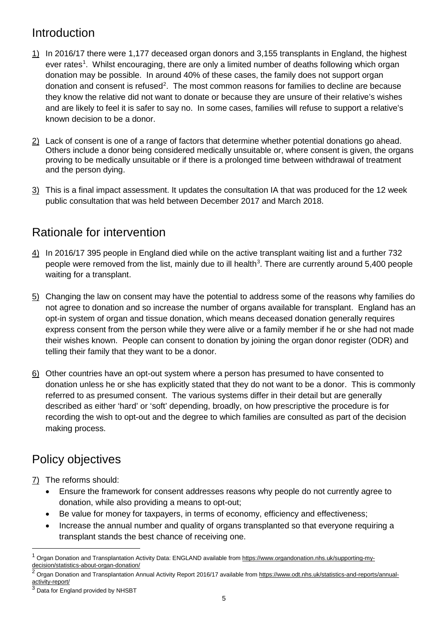## Introduction

- 1) In 2016/17 there were 1,177 deceased organ donors and 3,155 transplants in England, the highest ever rates<sup>[1](#page-4-0)</sup>. Whilst encouraging, there are only a limited number of deaths following which organ donation may be possible. In around 40% of these cases, the family does not support organ donation and consent is refused<sup>[2](#page-4-1)</sup>. The most common reasons for families to decline are because they know the relative did not want to donate or because they are unsure of their relative's wishes and are likely to feel it is safer to say no. In some cases, families will refuse to support a relative's known decision to be a donor.
- 2) Lack of consent is one of a range of factors that determine whether potential donations go ahead. Others include a donor being considered medically unsuitable or, where consent is given, the organs proving to be medically unsuitable or if there is a prolonged time between withdrawal of treatment and the person dying.
- 3) This is a final impact assessment. It updates the consultation IA that was produced for the 12 week public consultation that was held between December 2017 and March 2018.

# Rationale for intervention

- 4) In 2016/17 395 people in England died while on the active transplant waiting list and a further 732 people were removed from the list, mainly due to ill health<sup>[3](#page-4-2)</sup>. There are currently around 5,400 people waiting for a transplant.
- 5) Changing the law on consent may have the potential to address some of the reasons why families do not agree to donation and so increase the number of organs available for transplant. England has an opt-in system of organ and tissue donation, which means deceased donation generally requires express consent from the person while they were alive or a family member if he or she had not made their wishes known. People can consent to donation by joining the organ donor register (ODR) and telling their family that they want to be a donor.
- 6) Other countries have an opt-out system where a person has presumed to have consented to donation unless he or she has explicitly stated that they do not want to be a donor. This is commonly referred to as presumed consent. The various systems differ in their detail but are generally described as either 'hard' or 'soft' depending, broadly, on how prescriptive the procedure is for recording the wish to opt-out and the degree to which families are consulted as part of the decision making process.

# Policy objectives

7) The reforms should:

- Ensure the framework for consent addresses reasons why people do not currently agree to donation, while also providing a means to opt-out;
- Be value for money for taxpayers, in terms of economy, efficiency and effectiveness;
- Increase the annual number and quality of organs transplanted so that everyone requiring a transplant stands the best chance of receiving one.

<span id="page-4-0"></span><sup>&</sup>lt;sup>1</sup> Organ Donation and Transplantation Activity Data: ENGLAND available from [https://www.organdonation.nhs.uk/supporting-my](https://www.organdonation.nhs.uk/supporting-my-decision/statistics-about-organ-donation/)[decision/statistics-about-organ-donation/](https://www.organdonation.nhs.uk/supporting-my-decision/statistics-about-organ-donation/)

<span id="page-4-1"></span><sup>&</sup>lt;sup>2</sup> Organ Donation and Transplantation Annual Activity Report 2016/17 available fro[m https://www.odt.nhs.uk/statistics-and-reports/annual](https://www.odt.nhs.uk/statistics-and-reports/annual-activity-report/)[activity-report/](https://www.odt.nhs.uk/statistics-and-reports/annual-activity-report/)

<span id="page-4-2"></span><sup>&</sup>lt;sup>3</sup> Data for England provided by NHSBT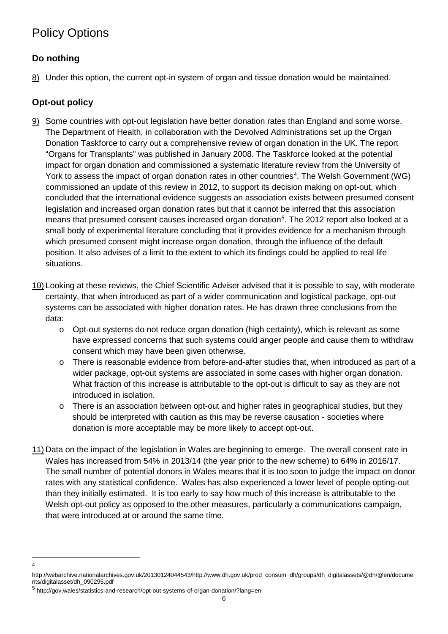# Policy Options

## **Do nothing**

8) Under this option, the current opt-in system of organ and tissue donation would be maintained.

## **Opt-out policy**

- 9) Some countries with opt-out legislation have better donation rates than England and some worse. The Department of Health, in collaboration with the Devolved Administrations set up the Organ Donation Taskforce to carry out a comprehensive review of organ donation in the UK. The report "Organs for Transplants" was published in January 2008. The Taskforce looked at the potential impact for organ donation and commissioned a systematic literature review from the University of York to assess the impact of organ donation rates in other countries<sup>[4](#page-5-0)</sup>. The Welsh Government (WG) commissioned an update of this review in 2012, to support its decision making on opt-out, which concluded that the international evidence suggests an association exists between presumed consent legislation and increased organ donation rates but that it cannot be inferred that this association means that presumed consent causes increased organ donation<sup>[5](#page-5-1)</sup>. The 2012 report also looked at a small body of experimental literature concluding that it provides evidence for a mechanism through which presumed consent might increase organ donation, through the influence of the default position. It also advises of a limit to the extent to which its findings could be applied to real life situations.
- 10) Looking at these reviews, the Chief Scientific Adviser advised that it is possible to say, with moderate certainty, that when introduced as part of a wider communication and logistical package, opt-out systems can be associated with higher donation rates. He has drawn three conclusions from the data:
	- o Opt-out systems do not reduce organ donation (high certainty), which is relevant as some have expressed concerns that such systems could anger people and cause them to withdraw consent which may have been given otherwise.
	- o There is reasonable evidence from before-and-after studies that, when introduced as part of a wider package, opt-out systems are associated in some cases with higher organ donation. What fraction of this increase is attributable to the opt-out is difficult to say as they are not introduced in isolation.
	- o There is an association between opt-out and higher rates in geographical studies, but they should be interpreted with caution as this may be reverse causation - societies where donation is more acceptable may be more likely to accept opt-out.
- 11) Data on the impact of the legislation in Wales are beginning to emerge. The overall consent rate in Wales has increased from 54% in 2013/14 (the year prior to the new scheme) to 64% in 2016/17. The small number of potential donors in Wales means that it is too soon to judge the impact on donor rates with any statistical confidence. Wales has also experienced a lower level of people opting-out than they initially estimated. It is too early to say how much of this increase is attributable to the Welsh opt-out policy as opposed to the other measures, particularly a communications campaign, that were introduced at or around the same time.

 $\overline{a}$  $\overline{4}$ 

<span id="page-5-0"></span>http://webarchive.nationalarchives.gov.uk/20130124044543/http://www.dh.gov.uk/prod\_consum\_dh/groups/dh\_digitalassets/@dh/@en/docume nts/digitalasset/dh\_090295.pdf

<span id="page-5-1"></span><sup>5</sup> http://gov.wales/statistics-and-research/opt-out-systems-of-organ-donation/?lang=en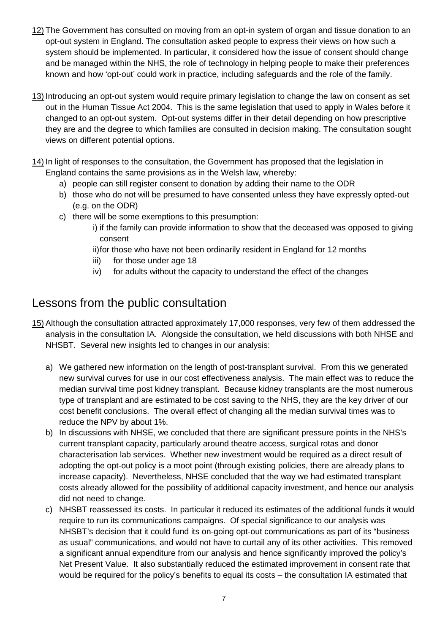- 12) The Government has consulted on moving from an opt-in system of organ and tissue donation to an opt-out system in England. The consultation asked people to express their views on how such a system should be implemented. In particular, it considered how the issue of consent should change and be managed within the NHS, the role of technology in helping people to make their preferences known and how 'opt-out' could work in practice, including safeguards and the role of the family.
- 13) Introducing an opt-out system would require primary legislation to change the law on consent as set out in the Human Tissue Act 2004. This is the same legislation that used to apply in Wales before it changed to an opt-out system. Opt-out systems differ in their detail depending on how prescriptive they are and the degree to which families are consulted in decision making. The consultation sought views on different potential options.
- 14) In light of responses to the consultation, the Government has proposed that the legislation in England contains the same provisions as in the Welsh law, whereby:
	- a) people can still register consent to donation by adding their name to the ODR
	- b) those who do not will be presumed to have consented unless they have expressly opted-out (e.g. on the ODR)
	- c) there will be some exemptions to this presumption:
		- i) if the family can provide information to show that the deceased was opposed to giving consent
		- ii)for those who have not been ordinarily resident in England for 12 months
		- iii) for those under age 18
		- iv) for adults without the capacity to understand the effect of the changes

## Lessons from the public consultation

- 15) Although the consultation attracted approximately 17,000 responses, very few of them addressed the analysis in the consultation IA. Alongside the consultation, we held discussions with both NHSE and NHSBT. Several new insights led to changes in our analysis:
	- a) We gathered new information on the length of post-transplant survival. From this we generated new survival curves for use in our cost effectiveness analysis. The main effect was to reduce the median survival time post kidney transplant. Because kidney transplants are the most numerous type of transplant and are estimated to be cost saving to the NHS, they are the key driver of our cost benefit conclusions. The overall effect of changing all the median survival times was to reduce the NPV by about 1%.
	- b) In discussions with NHSE, we concluded that there are significant pressure points in the NHS's current transplant capacity, particularly around theatre access, surgical rotas and donor characterisation lab services. Whether new investment would be required as a direct result of adopting the opt-out policy is a moot point (through existing policies, there are already plans to increase capacity). Nevertheless, NHSE concluded that the way we had estimated transplant costs already allowed for the possibility of additional capacity investment, and hence our analysis did not need to change.
	- c) NHSBT reassessed its costs. In particular it reduced its estimates of the additional funds it would require to run its communications campaigns. Of special significance to our analysis was NHSBT's decision that it could fund its on-going opt-out communications as part of its "business as usual" communications, and would not have to curtail any of its other activities. This removed a significant annual expenditure from our analysis and hence significantly improved the policy's Net Present Value. It also substantially reduced the estimated improvement in consent rate that would be required for the policy's benefits to equal its costs – the consultation IA estimated that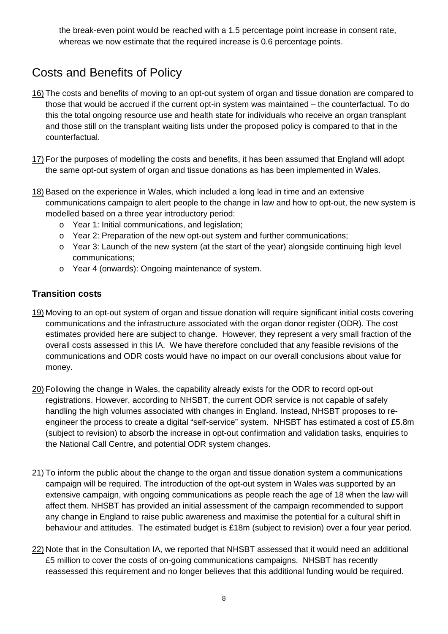the break-even point would be reached with a 1.5 percentage point increase in consent rate, whereas we now estimate that the required increase is 0.6 percentage points.

# Costs and Benefits of Policy

- 16) The costs and benefits of moving to an opt-out system of organ and tissue donation are compared to those that would be accrued if the current opt-in system was maintained – the counterfactual. To do this the total ongoing resource use and health state for individuals who receive an organ transplant and those still on the transplant waiting lists under the proposed policy is compared to that in the counterfactual.
- 17) For the purposes of modelling the costs and benefits, it has been assumed that England will adopt the same opt-out system of organ and tissue donations as has been implemented in Wales.
- 18) Based on the experience in Wales, which included a long lead in time and an extensive communications campaign to alert people to the change in law and how to opt-out, the new system is modelled based on a three year introductory period:
	- o Year 1: Initial communications, and legislation;
	- o Year 2: Preparation of the new opt-out system and further communications;
	- o Year 3: Launch of the new system (at the start of the year) alongside continuing high level communications;
	- o Year 4 (onwards): Ongoing maintenance of system.

#### **Transition costs**

- 19) Moving to an opt-out system of organ and tissue donation will require significant initial costs covering communications and the infrastructure associated with the organ donor register (ODR). The cost estimates provided here are subject to change. However, they represent a very small fraction of the overall costs assessed in this IA. We have therefore concluded that any feasible revisions of the communications and ODR costs would have no impact on our overall conclusions about value for money.
- 20) Following the change in Wales, the capability already exists for the ODR to record opt-out registrations. However, according to NHSBT, the current ODR service is not capable of safely handling the high volumes associated with changes in England. Instead, NHSBT proposes to reengineer the process to create a digital "self-service" system. NHSBT has estimated a cost of £5.8m (subject to revision) to absorb the increase in opt-out confirmation and validation tasks, enquiries to the National Call Centre, and potential ODR system changes.
- 21) To inform the public about the change to the organ and tissue donation system a communications campaign will be required. The introduction of the opt-out system in Wales was supported by an extensive campaign, with ongoing communications as people reach the age of 18 when the law will affect them. NHSBT has provided an initial assessment of the campaign recommended to support any change in England to raise public awareness and maximise the potential for a cultural shift in behaviour and attitudes. The estimated budget is £18m (subject to revision) over a four year period.
- 22) Note that in the Consultation IA, we reported that NHSBT assessed that it would need an additional £5 million to cover the costs of on-going communications campaigns. NHSBT has recently reassessed this requirement and no longer believes that this additional funding would be required.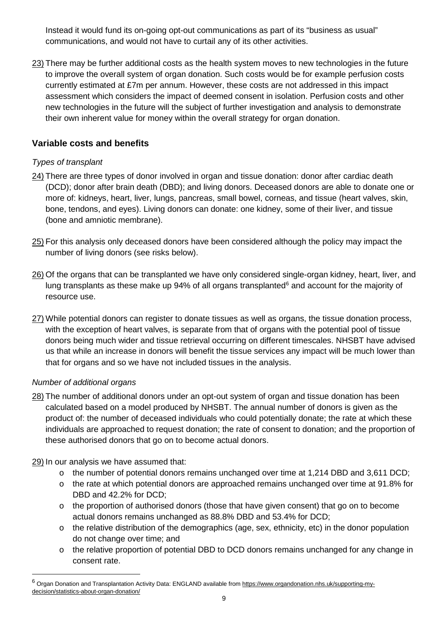Instead it would fund its on-going opt-out communications as part of its "business as usual" communications, and would not have to curtail any of its other activities.

23) There may be further additional costs as the health system moves to new technologies in the future to improve the overall system of organ donation. Such costs would be for example perfusion costs currently estimated at £7m per annum. However, these costs are not addressed in this impact assessment which considers the impact of deemed consent in isolation. Perfusion costs and other new technologies in the future will the subject of further investigation and analysis to demonstrate their own inherent value for money within the overall strategy for organ donation.

## **Variable costs and benefits**

## *Types of transplant*

- 24) There are three types of donor involved in organ and tissue donation: donor after cardiac death (DCD); donor after brain death (DBD); and living donors. Deceased donors are able to donate one or more of: kidneys, heart, liver, lungs, pancreas, small bowel, corneas, and tissue (heart valves, skin, bone, tendons, and eyes). Living donors can donate: one kidney, some of their liver, and tissue (bone and amniotic membrane).
- 25) For this analysis only deceased donors have been considered although the policy may impact the number of living donors (see risks below).
- 26) Of the organs that can be transplanted we have only considered single-organ kidney, heart, liver, and lung transplants as these make up 94% of all organs transplanted $6$  and account for the majority of resource use.
- 27) While potential donors can register to donate tissues as well as organs, the tissue donation process, with the exception of heart valves, is separate from that of organs with the potential pool of tissue donors being much wider and tissue retrieval occurring on different timescales. NHSBT have advised us that while an increase in donors will benefit the tissue services any impact will be much lower than that for organs and so we have not included tissues in the analysis.

## *Number of additional organs*

 $\overline{a}$ 

- 28) The number of additional donors under an opt-out system of organ and tissue donation has been calculated based on a model produced by NHSBT. The annual number of donors is given as the product of: the number of deceased individuals who could potentially donate; the rate at which these individuals are approached to request donation; the rate of consent to donation; and the proportion of these authorised donors that go on to become actual donors.
- 29) In our analysis we have assumed that:
	- o the number of potential donors remains unchanged over time at 1,214 DBD and 3,611 DCD;
	- $\circ$  the rate at which potential donors are approached remains unchanged over time at 91.8% for DBD and 42.2% for DCD;
	- o the proportion of authorised donors (those that have given consent) that go on to become actual donors remains unchanged as 88.8% DBD and 53.4% for DCD;
	- o the relative distribution of the demographics (age, sex, ethnicity, etc) in the donor population do not change over time; and
	- o the relative proportion of potential DBD to DCD donors remains unchanged for any change in consent rate.

<span id="page-8-0"></span><sup>&</sup>lt;sup>6</sup> Organ Donation and Transplantation Activity Data: ENGLAND available from [https://www.organdonation.nhs.uk/supporting-my](https://www.organdonation.nhs.uk/supporting-my-decision/statistics-about-organ-donation/)[decision/statistics-about-organ-donation/](https://www.organdonation.nhs.uk/supporting-my-decision/statistics-about-organ-donation/)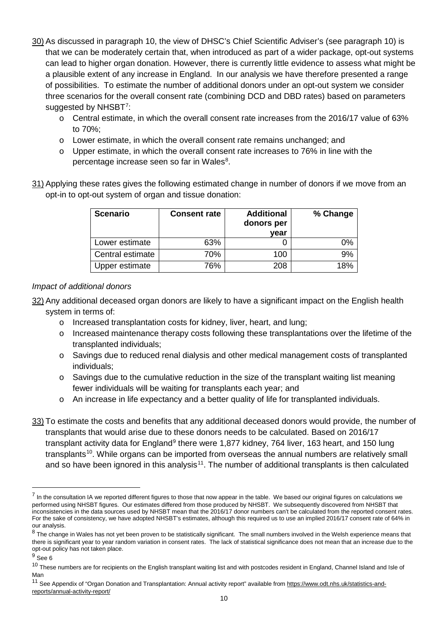- 30) As discussed in paragraph 10, the view of DHSC's Chief Scientific Adviser's (see paragraph 10) is that we can be moderately certain that, when introduced as part of a wider package, opt-out systems can lead to higher organ donation. However, there is currently little evidence to assess what might be a plausible extent of any increase in England. In our analysis we have therefore presented a range of possibilities. To estimate the number of additional donors under an opt-out system we consider three scenarios for the overall consent rate (combining DCD and DBD rates) based on parameters suggested by  $\mathsf{NHSBT}^7$  $\mathsf{NHSBT}^7$ :
	- $\circ$  Central estimate, in which the overall consent rate increases from the 2016/17 value of 63% to 70%;
	- o Lower estimate, in which the overall consent rate remains unchanged; and
	- o Upper estimate, in which the overall consent rate increases to 76% in line with the percentage increase seen so far in Wales $^8$  $^8$ .
- 31) Applying these rates gives the following estimated change in number of donors if we move from an opt-in to opt-out system of organ and tissue donation:

| <b>Scenario</b>  | <b>Consent rate</b> | <b>Additional</b><br>donors per<br>vear | % Change |
|------------------|---------------------|-----------------------------------------|----------|
| Lower estimate   | 63%                 |                                         | 0%       |
| Central estimate | 70%                 | 100                                     | 9%       |
| Upper estimate   | 76%                 | 208                                     | 18%      |

#### *Impact of additional donors*

- 32) Any additional deceased organ donors are likely to have a significant impact on the English health system in terms of:
	- o Increased transplantation costs for kidney, liver, heart, and lung;
	- $\circ$  Increased maintenance therapy costs following these transplantations over the lifetime of the transplanted individuals;
	- o Savings due to reduced renal dialysis and other medical management costs of transplanted individuals;
	- o Savings due to the cumulative reduction in the size of the transplant waiting list meaning fewer individuals will be waiting for transplants each year; and
	- o An increase in life expectancy and a better quality of life for transplanted individuals.
- 33) To estimate the costs and benefits that any additional deceased donors would provide, the number of transplants that would arise due to these donors needs to be calculated. Based on 2016/17 transplant activity data for England<sup>[9](#page-9-2)</sup> there were 1,877 kidney, 764 liver, 163 heart, and 150 lung transplants<sup>10</sup>. While organs can be imported from overseas the annual numbers are relatively small and so have been ignored in this analysis<sup>11</sup>. The number of additional transplants is then calculated

<span id="page-9-0"></span> $<sup>7</sup>$  In the consultation IA we reported different figures to those that now appear in the table. We based our original figures on calculations we</sup> performed using NHSBT figures. Our estimates differed from those produced by NHSBT. We subsequently discovered from NHSBT that inconsistencies in the data sources used by NHSBT mean that the 2016/17 donor numbers can't be calculated from the reported consent rates. For the sake of consistency, we have adopted NHSBT's estimates, although this required us to use an implied 2016/17 consent rate of 64% in our analysis.

<span id="page-9-1"></span> $8$  The change in Wales has not yet been proven to be statistically significant. The small numbers involved in the Welsh experience means that there is significant year to year random variation in consent rates. The lack of statistical significance does not mean that an increase due to the opt-out policy has not taken place.

<span id="page-9-2"></span> $9$  See 6

<span id="page-9-3"></span> $10$  These numbers are for recipients on the English transplant waiting list and with postcodes resident in England, Channel Island and Isle of Man

<span id="page-9-4"></span><sup>&</sup>lt;sup>11</sup> See Appendix of "Organ Donation and Transplantation: Annual activity report" available fro[m https://www.odt.nhs.uk/statistics-and](https://www.odt.nhs.uk/statistics-and-reports/annual-activity-report/)[reports/annual-activity-report/](https://www.odt.nhs.uk/statistics-and-reports/annual-activity-report/)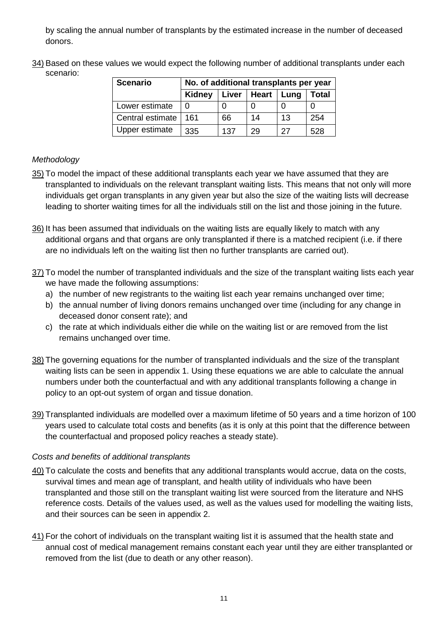by scaling the annual number of transplants by the estimated increase in the number of deceased donors.

34) Based on these values we would expect the following number of additional transplants under each scenario:

| <b>Scenario</b>  | No. of additional transplants per year |       |       |      |       |  |  |
|------------------|----------------------------------------|-------|-------|------|-------|--|--|
|                  | Kidney                                 | Liver | Heart | Lung | Total |  |  |
| Lower estimate   |                                        |       |       |      |       |  |  |
| Central estimate | 161                                    | 66    | 14    | 13   | 254   |  |  |
| Upper estimate   | 335                                    | 137   | 29    | 27   | 528   |  |  |

#### *Methodology*

- 35) To model the impact of these additional transplants each year we have assumed that they are transplanted to individuals on the relevant transplant waiting lists. This means that not only will more individuals get organ transplants in any given year but also the size of the waiting lists will decrease leading to shorter waiting times for all the individuals still on the list and those joining in the future.
- 36) It has been assumed that individuals on the waiting lists are equally likely to match with any additional organs and that organs are only transplanted if there is a matched recipient (i.e. if there are no individuals left on the waiting list then no further transplants are carried out).
- 37) To model the number of transplanted individuals and the size of the transplant waiting lists each year we have made the following assumptions:
	- a) the number of new registrants to the waiting list each year remains unchanged over time;
	- b) the annual number of living donors remains unchanged over time (including for any change in deceased donor consent rate); and
	- c) the rate at which individuals either die while on the waiting list or are removed from the list remains unchanged over time.
- 38) The governing equations for the number of transplanted individuals and the size of the transplant waiting lists can be seen in appendix 1. Using these equations we are able to calculate the annual numbers under both the counterfactual and with any additional transplants following a change in policy to an opt-out system of organ and tissue donation.
- 39) Transplanted individuals are modelled over a maximum lifetime of 50 years and a time horizon of 100 years used to calculate total costs and benefits (as it is only at this point that the difference between the counterfactual and proposed policy reaches a steady state).

#### *Costs and benefits of additional transplants*

- 40) To calculate the costs and benefits that any additional transplants would accrue, data on the costs, survival times and mean age of transplant, and health utility of individuals who have been transplanted and those still on the transplant waiting list were sourced from the literature and NHS reference costs. Details of the values used, as well as the values used for modelling the waiting lists, and their sources can be seen in appendix 2.
- 41) For the cohort of individuals on the transplant waiting list it is assumed that the health state and annual cost of medical management remains constant each year until they are either transplanted or removed from the list (due to death or any other reason).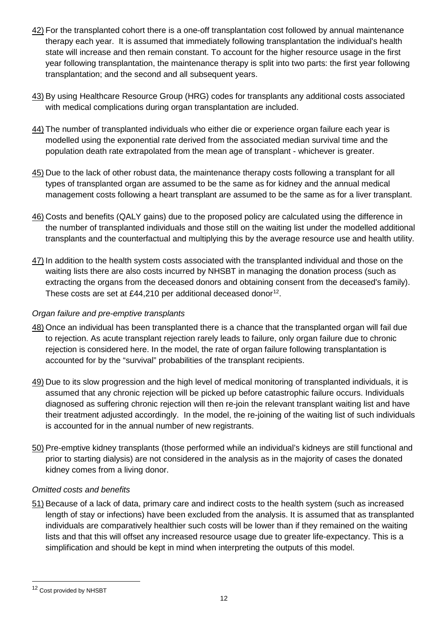- 42) For the transplanted cohort there is a one-off transplantation cost followed by annual maintenance therapy each year. It is assumed that immediately following transplantation the individual's health state will increase and then remain constant. To account for the higher resource usage in the first year following transplantation, the maintenance therapy is split into two parts: the first year following transplantation; and the second and all subsequent years.
- 43) By using Healthcare Resource Group (HRG) codes for transplants any additional costs associated with medical complications during organ transplantation are included.
- 44) The number of transplanted individuals who either die or experience organ failure each year is modelled using the exponential rate derived from the associated median survival time and the population death rate extrapolated from the mean age of transplant - whichever is greater.
- 45) Due to the lack of other robust data, the maintenance therapy costs following a transplant for all types of transplanted organ are assumed to be the same as for kidney and the annual medical management costs following a heart transplant are assumed to be the same as for a liver transplant.
- 46) Costs and benefits (QALY gains) due to the proposed policy are calculated using the difference in the number of transplanted individuals and those still on the waiting list under the modelled additional transplants and the counterfactual and multiplying this by the average resource use and health utility.
- 47) In addition to the health system costs associated with the transplanted individual and those on the waiting lists there are also costs incurred by NHSBT in managing the donation process (such as extracting the organs from the deceased donors and obtaining consent from the deceased's family). These costs are set at £44,210 per additional deceased donor<sup>12</sup>.

### *Organ failure and pre-emptive transplants*

- 48) Once an individual has been transplanted there is a chance that the transplanted organ will fail due to rejection. As acute transplant rejection rarely leads to failure, only organ failure due to chronic rejection is considered here. In the model, the rate of organ failure following transplantation is accounted for by the "survival" probabilities of the transplant recipients.
- 49) Due to its slow progression and the high level of medical monitoring of transplanted individuals, it is assumed that any chronic rejection will be picked up before catastrophic failure occurs. Individuals diagnosed as suffering chronic rejection will then re-join the relevant transplant waiting list and have their treatment adjusted accordingly. In the model, the re-joining of the waiting list of such individuals is accounted for in the annual number of new registrants.
- 50) Pre-emptive kidney transplants (those performed while an individual's kidneys are still functional and prior to starting dialysis) are not considered in the analysis as in the majority of cases the donated kidney comes from a living donor.

#### *Omitted costs and benefits*

51) Because of a lack of data, primary care and indirect costs to the health system (such as increased length of stay or infections) have been excluded from the analysis. It is assumed that as transplanted individuals are comparatively healthier such costs will be lower than if they remained on the waiting lists and that this will offset any increased resource usage due to greater life-expectancy. This is a simplification and should be kept in mind when interpreting the outputs of this model.

<span id="page-11-0"></span><sup>12</sup> Cost provided by NHSBT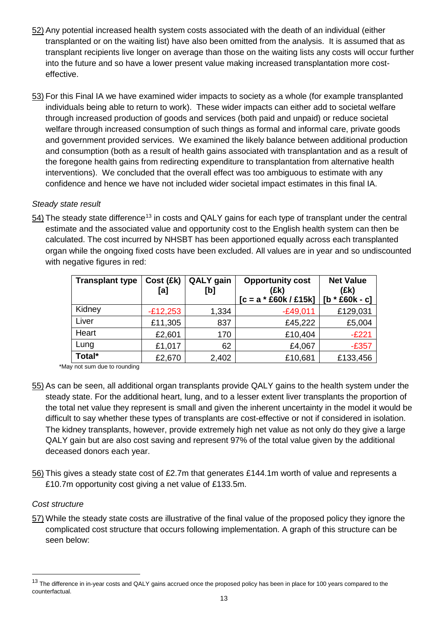- 52) Any potential increased health system costs associated with the death of an individual (either transplanted or on the waiting list) have also been omitted from the analysis. It is assumed that as transplant recipients live longer on average than those on the waiting lists any costs will occur further into the future and so have a lower present value making increased transplantation more costeffective.
- 53) For this Final IA we have examined wider impacts to society as a whole (for example transplanted individuals being able to return to work). These wider impacts can either add to societal welfare through increased production of goods and services (both paid and unpaid) or reduce societal welfare through increased consumption of such things as formal and informal care, private goods and government provided services. We examined the likely balance between additional production and consumption (both as a result of health gains associated with transplantation and as a result of the foregone health gains from redirecting expenditure to transplantation from alternative health interventions). We concluded that the overall effect was too ambiguous to estimate with any confidence and hence we have not included wider societal impact estimates in this final IA.

#### *Steady state result*

 $54$ ) The steady state difference<sup>[13](#page-12-0)</sup> in costs and QALY gains for each type of transplant under the central estimate and the associated value and opportunity cost to the English health system can then be calculated. The cost incurred by NHSBT has been apportioned equally across each transplanted organ while the ongoing fixed costs have been excluded. All values are in year and so undiscounted with negative figures in red:

| <b>Transplant type</b> | Cost (£k)<br>[a] | <b>QALY</b> gain<br>[b] | <b>Opportunity cost</b><br>(£k)<br>$[c = a * E60k / E15k]$ | <b>Net Value</b><br>(£k)<br>$[b * £60k - c]$ |
|------------------------|------------------|-------------------------|------------------------------------------------------------|----------------------------------------------|
| Kidney                 | $-E12,253$       | 1,334                   | $-E49,011$                                                 | £129,031                                     |
| Liver                  | £11,305          | 837                     | £45,222                                                    | £5,004                                       |
| Heart                  | £2,601           | 170                     | £10,404                                                    | $-E221$                                      |
| Lung                   | £1,017           | 62                      | £4,067                                                     | $-E357$                                      |
| Total*                 | £2,670           | 2,402                   | £10,681                                                    | £133,456                                     |

\*May not sum due to rounding

- 55) As can be seen, all additional organ transplants provide QALY gains to the health system under the steady state. For the additional heart, lung, and to a lesser extent liver transplants the proportion of the total net value they represent is small and given the inherent uncertainty in the model it would be difficult to say whether these types of transplants are cost-effective or not if considered in isolation. The kidney transplants, however, provide extremely high net value as not only do they give a large QALY gain but are also cost saving and represent 97% of the total value given by the additional deceased donors each year.
- 56) This gives a steady state cost of £2.7m that generates £144.1m worth of value and represents a £10.7m opportunity cost giving a net value of £133.5m.

#### *Cost structure*

57) While the steady state costs are illustrative of the final value of the proposed policy they ignore the complicated cost structure that occurs following implementation. A graph of this structure can be seen below:

<span id="page-12-0"></span><sup>&</sup>lt;sup>13</sup> The difference in in-year costs and QALY gains accrued once the proposed policy has been in place for 100 years compared to the counterfactual.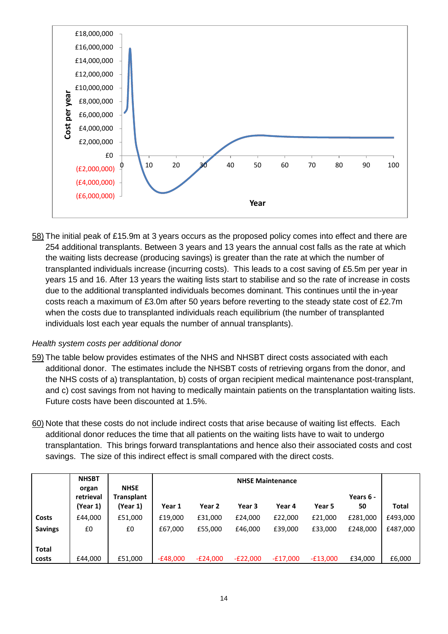

58) The initial peak of £15.9m at 3 years occurs as the proposed policy comes into effect and there are 254 additional transplants. Between 3 years and 13 years the annual cost falls as the rate at which the waiting lists decrease (producing savings) is greater than the rate at which the number of transplanted individuals increase (incurring costs). This leads to a cost saving of £5.5m per year in years 15 and 16. After 13 years the waiting lists start to stabilise and so the rate of increase in costs due to the additional transplanted individuals becomes dominant. This continues until the in-year costs reach a maximum of £3.0m after 50 years before reverting to the steady state cost of £2.7m when the costs due to transplanted individuals reach equilibrium (the number of transplanted individuals lost each year equals the number of annual transplants).

#### *Health system costs per additional donor*

- 59) The table below provides estimates of the NHS and NHSBT direct costs associated with each additional donor. The estimates include the NHSBT costs of retrieving organs from the donor, and the NHS costs of a) transplantation, b) costs of organ recipient medical maintenance post-transplant, and c) cost savings from not having to medically maintain patients on the transplantation waiting lists. Future costs have been discounted at 1.5%.
- 60) Note that these costs do not include indirect costs that arise because of waiting list effects. Each additional donor reduces the time that all patients on the waiting lists have to wait to undergo transplantation. This brings forward transplantations and hence also their associated costs and cost savings. The size of this indirect effect is small compared with the direct costs.

|                | <b>NHSBT</b><br>organ | <b>NHSE</b>                   |            |            |            | <b>NHSE Maintenance</b> |            |                 |              |
|----------------|-----------------------|-------------------------------|------------|------------|------------|-------------------------|------------|-----------------|--------------|
|                | retrieval<br>(Year 1) | <b>Transplant</b><br>(Year 1) | Year 1     | Year 2     | Year 3     | Year 4                  | Year 5     | Years 6 -<br>50 | <b>Total</b> |
| Costs          | £44,000               | £51,000                       | £19,000    | £31,000    | £24,000    | £22,000                 | £21,000    | £281,000        | £493,000     |
| <b>Savings</b> | £0                    | £0                            | £67,000    | £55,000    | £46,000    | £39,000                 | £33,000    | £248,000        | £487,000     |
| <b>Total</b>   |                       |                               |            |            |            |                         |            |                 |              |
| costs          | £44,000               | £51,000                       | $-£48,000$ | $-E24,000$ | $-E22.000$ | $-£17,000$              | $-E13.000$ | £34,000         | £6,000       |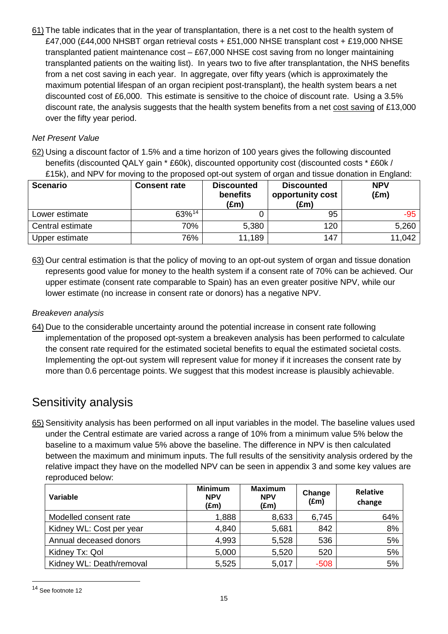61) The table indicates that in the year of transplantation, there is a net cost to the health system of £47,000 (£44,000 NHSBT organ retrieval costs + £51,000 NHSE transplant cost + £19,000 NHSE transplanted patient maintenance cost – £67,000 NHSE cost saving from no longer maintaining transplanted patients on the waiting list). In years two to five after transplantation, the NHS benefits from a net cost saving in each year. In aggregate, over fifty years (which is approximately the maximum potential lifespan of an organ recipient post-transplant), the health system bears a net discounted cost of £6,000. This estimate is sensitive to the choice of discount rate. Using a 3.5% discount rate, the analysis suggests that the health system benefits from a net cost saving of £13,000 over the fifty year period.

## *Net Present Value*

62) Using a discount factor of 1.5% and a time horizon of 100 years gives the following discounted benefits (discounted QALY gain \* £60k), discounted opportunity cost (discounted costs \* £60k / £15k), and NPV for moving to the proposed opt-out system of organ and tissue donation in England:

| <b>Scenario</b>  | <b>Consent rate</b> | <b>Discounted</b><br><b>benefits</b><br>(£m) | <b>Discounted</b><br>opportunity cost<br>(£m) | <b>NPV</b><br>$(\text{Em})$ |
|------------------|---------------------|----------------------------------------------|-----------------------------------------------|-----------------------------|
| Lower estimate   | 63%14               |                                              | 95                                            | -95                         |
| Central estimate | 70%                 | 5,380                                        | 120                                           | 5,260                       |
| Upper estimate   | 76%                 | 11,189                                       | 147                                           | 11,042                      |

63) Our central estimation is that the policy of moving to an opt-out system of organ and tissue donation represents good value for money to the health system if a consent rate of 70% can be achieved. Our upper estimate (consent rate comparable to Spain) has an even greater positive NPV, while our lower estimate (no increase in consent rate or donors) has a negative NPV.

## *Breakeven analysis*

64) Due to the considerable uncertainty around the potential increase in consent rate following implementation of the proposed opt-system a breakeven analysis has been performed to calculate the consent rate required for the estimated societal benefits to equal the estimated societal costs. Implementing the opt-out system will represent value for money if it increases the consent rate by more than 0.6 percentage points. We suggest that this modest increase is plausibly achievable.

## Sensitivity analysis

65) Sensitivity analysis has been performed on all input variables in the model. The baseline values used under the Central estimate are varied across a range of 10% from a minimum value 5% below the baseline to a maximum value 5% above the baseline. The difference in NPV is then calculated between the maximum and minimum inputs. The full results of the sensitivity analysis ordered by the relative impact they have on the modelled NPV can be seen in appendix 3 and some key values are reproduced below:

| Variable                 | <b>Minimum</b><br><b>NPV</b><br>(£m) | <b>Maximum</b><br><b>NPV</b><br>$(\text{Em})$ | Change<br>$(\text{Em})$ | Relative<br>change |
|--------------------------|--------------------------------------|-----------------------------------------------|-------------------------|--------------------|
| Modelled consent rate    | 1,888                                | 8,633                                         | 6,745                   | 64%                |
| Kidney WL: Cost per year | 4,840                                | 5,681                                         | 842                     | 8%                 |
| Annual deceased donors   | 4,993                                | 5,528                                         | 536                     | 5%                 |
| Kidney Tx: Qol           | 5,000                                | 5,520                                         | 520                     | 5%                 |
| Kidney WL: Death/removal | 5,525                                | 5,017                                         | $-508$                  | 5%                 |

<span id="page-14-0"></span> <sup>14</sup> See footnote 12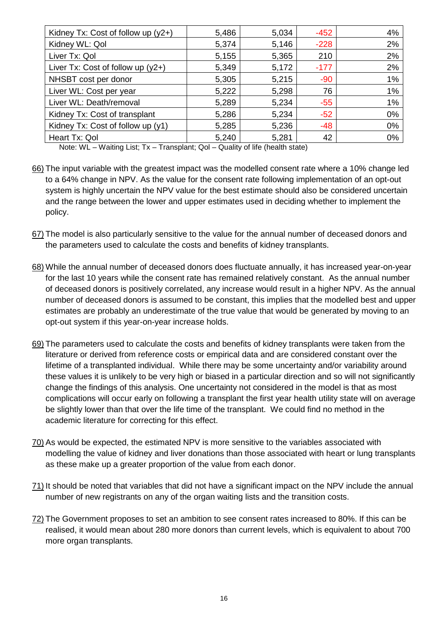| Kidney Tx: Cost of follow up $(y2+)$ | 5,486 | 5,034 | $-452$ | 4%    |
|--------------------------------------|-------|-------|--------|-------|
| Kidney WL: Qol                       | 5,374 | 5,146 | $-228$ | 2%    |
| Liver Tx: Qol                        | 5,155 | 5,365 | 210    | 2%    |
| Liver Tx: Cost of follow up $(y2+)$  | 5,349 | 5,172 | $-177$ | 2%    |
| NHSBT cost per donor                 | 5,305 | 5,215 | $-90$  | 1%    |
| Liver WL: Cost per year              | 5,222 | 5,298 | 76     | 1%    |
| Liver WL: Death/removal              | 5,289 | 5,234 | $-55$  | 1%    |
| Kidney Tx: Cost of transplant        | 5,286 | 5,234 | $-52$  | 0%    |
| Kidney Tx: Cost of follow up (y1)    | 5,285 | 5,236 | -48    | 0%    |
| Heart Tx: Qol                        | 5,240 | 5,281 | 42     | $0\%$ |

Note: WL – Waiting List; Tx – Transplant; Qol – Quality of life (health state)

- 66) The input variable with the greatest impact was the modelled consent rate where a 10% change led to a 64% change in NPV. As the value for the consent rate following implementation of an opt-out system is highly uncertain the NPV value for the best estimate should also be considered uncertain and the range between the lower and upper estimates used in deciding whether to implement the policy.
- 67) The model is also particularly sensitive to the value for the annual number of deceased donors and the parameters used to calculate the costs and benefits of kidney transplants.
- 68) While the annual number of deceased donors does fluctuate annually, it has increased year-on-year for the last 10 years while the consent rate has remained relatively constant. As the annual number of deceased donors is positively correlated, any increase would result in a higher NPV. As the annual number of deceased donors is assumed to be constant, this implies that the modelled best and upper estimates are probably an underestimate of the true value that would be generated by moving to an opt-out system if this year-on-year increase holds.
- 69) The parameters used to calculate the costs and benefits of kidney transplants were taken from the literature or derived from reference costs or empirical data and are considered constant over the lifetime of a transplanted individual. While there may be some uncertainty and/or variability around these values it is unlikely to be very high or biased in a particular direction and so will not significantly change the findings of this analysis. One uncertainty not considered in the model is that as most complications will occur early on following a transplant the first year health utility state will on average be slightly lower than that over the life time of the transplant. We could find no method in the academic literature for correcting for this effect.
- 70) As would be expected, the estimated NPV is more sensitive to the variables associated with modelling the value of kidney and liver donations than those associated with heart or lung transplants as these make up a greater proportion of the value from each donor.
- 71) It should be noted that variables that did not have a significant impact on the NPV include the annual number of new registrants on any of the organ waiting lists and the transition costs.
- 72) The Government proposes to set an ambition to see consent rates increased to 80%. If this can be realised, it would mean about 280 more donors than current levels, which is equivalent to about 700 more organ transplants.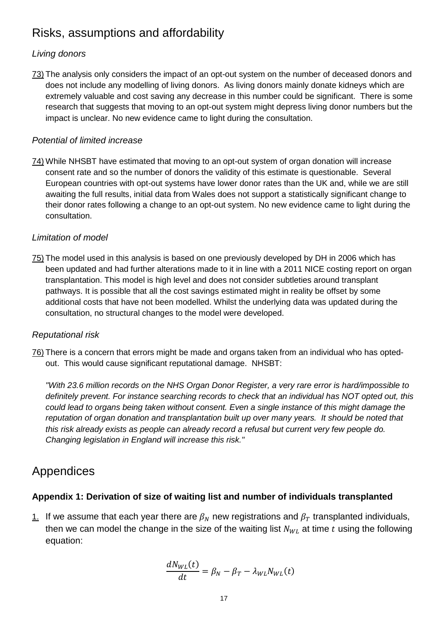# Risks, assumptions and affordability

## *Living donors*

73) The analysis only considers the impact of an opt-out system on the number of deceased donors and does not include any modelling of living donors. As living donors mainly donate kidneys which are extremely valuable and cost saving any decrease in this number could be significant. There is some research that suggests that moving to an opt-out system might depress living donor numbers but the impact is unclear. No new evidence came to light during the consultation.

## *Potential of limited increase*

74) While NHSBT have estimated that moving to an opt-out system of organ donation will increase consent rate and so the number of donors the validity of this estimate is questionable. Several European countries with opt-out systems have lower donor rates than the UK and, while we are still awaiting the full results, initial data from Wales does not support a statistically significant change to their donor rates following a change to an opt-out system. No new evidence came to light during the consultation.

## *Limitation of model*

75) The model used in this analysis is based on one previously developed by DH in 2006 which has been updated and had further alterations made to it in line with a 2011 NICE costing report on organ transplantation. This model is high level and does not consider subtleties around transplant pathways. It is possible that all the cost savings estimated might in reality be offset by some additional costs that have not been modelled. Whilst the underlying data was updated during the consultation, no structural changes to the model were developed.

## *Reputational risk*

76) There is a concern that errors might be made and organs taken from an individual who has optedout. This would cause significant reputational damage. NHSBT:

*"With 23.6 million records on the NHS Organ Donor Register, a very rare error is hard/impossible to definitely prevent. For instance searching records to check that an individual has NOT opted out, this could lead to organs being taken without consent. Even a single instance of this might damage the reputation of organ donation and transplantation built up over many years. It should be noted that this risk already exists as people can already record a refusal but current very few people do. Changing legislation in England will increase this risk."*

## Appendices

## **Appendix 1: Derivation of size of waiting list and number of individuals transplanted**

1. If we assume that each year there are  $\beta_N$  new registrations and  $\beta_T$  transplanted individuals, then we can model the change in the size of the waiting list  $N_{WL}$  at time t using the following equation:

$$
\frac{dN_{WL}(t)}{dt} = \beta_N - \beta_T - \lambda_{WL} N_{WL}(t)
$$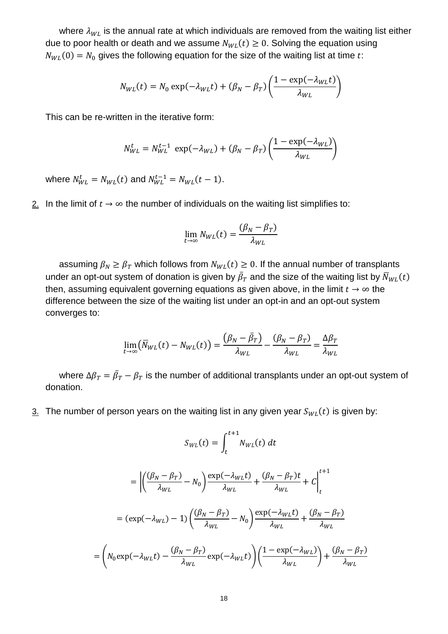where  $\lambda_{WL}$  is the annual rate at which individuals are removed from the waiting list either due to poor health or death and we assume  $N_{WL}(t) \geq 0$ . Solving the equation using  $N_{WL}(0) = N_0$  gives the following equation for the size of the waiting list at time t:

$$
N_{WL}(t) = N_0 \exp(-\lambda_{WL}t) + (\beta_N - \beta_T) \left(\frac{1 - \exp(-\lambda_{WL}t)}{\lambda_{WL}}\right)
$$

This can be re-written in the iterative form:

$$
N_{WL}^t = N_{WL}^{t-1} \exp(-\lambda_{WL}) + (\beta_N - \beta_T) \left(\frac{1 - \exp(-\lambda_{WL})}{\lambda_{WL}}\right)
$$

where  $N_{WL}^t = N_{WL}(t)$  and  $N_{WL}^{t-1} = N_{WL}(t-1)$ .

2. In the limit of  $t \to \infty$  the number of individuals on the waiting list simplifies to:

$$
\lim_{t \to \infty} N_{WL}(t) = \frac{(\beta_N - \beta_T)}{\lambda_{WL}}
$$

assuming  $\beta_N \ge \beta_T$  which follows from  $N_{WL}(t) \ge 0$ . If the annual number of transplants under an opt-out system of donation is given by  $\beta_T$  and the size of the waiting list by  $N_{WL}(t)$ then, assuming equivalent governing equations as given above, in the limit  $t \to \infty$  the difference between the size of the waiting list under an opt-in and an opt-out system converges to:

$$
\lim_{t \to \infty} (\overline{N}_{WL}(t) - N_{WL}(t)) = \frac{(\beta_N - \overline{\beta}_T)}{\lambda_{WL}} - \frac{(\beta_N - \beta_T)}{\lambda_{WL}} = \frac{\Delta \beta_T}{\lambda_{WL}}
$$

where  $\Delta \beta_T = \beta_T - \beta_T$  is the number of additional transplants under an opt-out system of donation.

 $3.$  The number of person years on the waiting list in any given year  $S_{WL}(t)$  is given by:

$$
S_{WL}(t) = \int_{t}^{t+1} N_{WL}(t) dt
$$
  
\n
$$
= \left| \left( \frac{(\beta_N - \beta_T)}{\lambda_{WL}} - N_0 \right) \frac{\exp(-\lambda_{WL}t)}{\lambda_{WL}} + \frac{(\beta_N - \beta_T)t}{\lambda_{WL}} + C \right|_{t}^{t+1}
$$
  
\n
$$
= (\exp(-\lambda_{WL}) - 1) \left( \frac{(\beta_N - \beta_T)}{\lambda_{WL}} - N_0 \right) \frac{\exp(-\lambda_{WL}t)}{\lambda_{WL}} + \frac{(\beta_N - \beta_T)}{\lambda_{WL}}
$$
  
\n
$$
= \left( N_0 \exp(-\lambda_{WL}t) - \frac{(\beta_N - \beta_T)}{\lambda_{WL}} \exp(-\lambda_{WL}t) \right) \left( \frac{1 - \exp(-\lambda_{WL})}{\lambda_{WL}} \right) + \frac{(\beta_N - \beta_T)}{\lambda_{WL}}
$$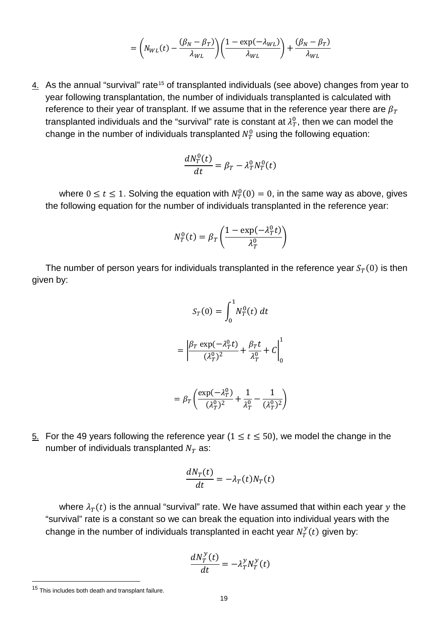$$
= \left(N_{WL}(t) - \frac{(\beta_N - \beta_T)}{\lambda_{WL}}\right) \left(\frac{1 - \exp(-\lambda_{WL})}{\lambda_{WL}}\right) + \frac{(\beta_N - \beta_T)}{\lambda_{WL}}
$$

4. As the annual "survival" rate<sup>[15](#page-18-0)</sup> of transplanted individuals (see above) changes from year to year following transplantation, the number of individuals transplanted is calculated with reference to their year of transplant. If we assume that in the reference year there are  $\beta_T$ transplanted individuals and the "survival" rate is constant at  $\lambda_T^0$ , then we can model the change in the number of individuals transplanted  $N_T^0$  using the following equation:

$$
\frac{dN_T^0(t)}{dt} = \beta_T - \lambda_T^0 N_T^0(t)
$$

where  $0 \leq t \leq 1$ . Solving the equation with  $N_T^0(0) = 0$ , in the same way as above, gives the following equation for the number of individuals transplanted in the reference year:

$$
N_T^0(t) = \beta_T \left( \frac{1 - \exp(-\lambda_T^0 t)}{\lambda_T^0} \right)
$$

The number of person years for individuals transplanted in the reference year  $S_T(0)$  is then given by:

$$
S_T(0) = \int_0^1 N_T^0(t) dt
$$
  
= 
$$
\left| \frac{\beta_T \exp(-\lambda_T^0 t)}{(\lambda_T^0)^2} + \frac{\beta_T t}{\lambda_T^0} + C \right|_0^1
$$
  
= 
$$
\beta_T \left( \frac{\exp(-\lambda_T^0)}{(\lambda_T^0)^2} + \frac{1}{\lambda_T^0} - \frac{1}{(\lambda_T^0)^2} \right)
$$

 $\frac{1}{(\lambda_T^0)^2}$  +

5. For the 49 years following the reference year  $(1 \le t \le 50)$ , we model the change in the number of individuals transplanted  $N_T$  as:

 $=$   $\beta_T$   $\left\langle \right\rangle$ 

$$
\frac{dN_T(t)}{dt} = -\lambda_T(t)N_T(t)
$$

where  $\lambda_T(t)$  is the annual "survival" rate. We have assumed that within each year y the "survival" rate is a constant so we can break the equation into individual years with the change in the number of individuals transplanted in eacht year  $N_{T}^{\mathcal{Y}}(t)$  given by:

$$
\frac{dN_T^y(t)}{dt} = -\lambda_T^y N_T^y(t)
$$

<span id="page-18-0"></span><sup>&</sup>lt;sup>15</sup> This includes both death and transplant failure.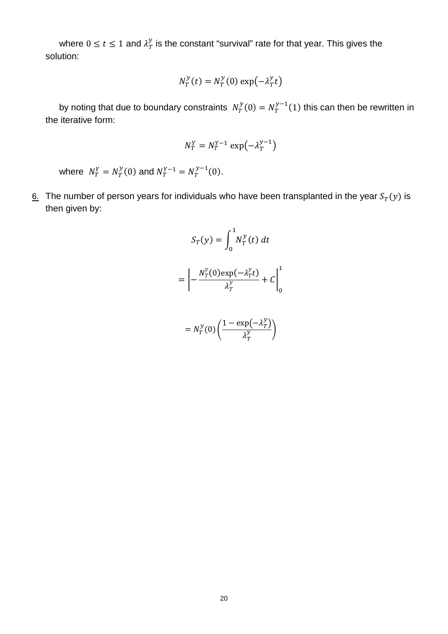where  $0 \leq t \leq 1$  and  $\lambda_T^{\mathcal{Y}}$  is the constant "survival" rate for that year. This gives the solution:

$$
N_T^{\mathcal{Y}}(t) = N_T^{\mathcal{Y}}(0) \exp(-\lambda_T^{\mathcal{Y}}t)
$$

by noting that due to boundary constraints  $N_T^{\mathcal{Y}}(0) = N_T^{\mathcal{Y}^{-1}}(1)$  this can then be rewritten in the iterative form:

$$
N_T^Y = N_T^{Y-1} \exp\left(-\lambda_T^{Y-1}\right)
$$

where  $N_T^Y = N_T^Y(0)$  and  $N_T^{Y-1} = N_T^{Y-1}(0)$ .

6. The number of person years for individuals who have been transplanted in the year  $S_T(y)$  is then given by:

$$
S_T(y) = \int_0^1 N_T^y(t) dt
$$
  
= 
$$
\left| -\frac{N_T^y(0) \exp(-\lambda_T^y t)}{\lambda_T^y} + C \right|_0^1
$$

$$
= N_T^{\mathcal{Y}}(0) \left( \frac{1 - \exp(-\lambda_T^{\mathcal{Y}})}{\lambda_T^{\mathcal{Y}}} \right)
$$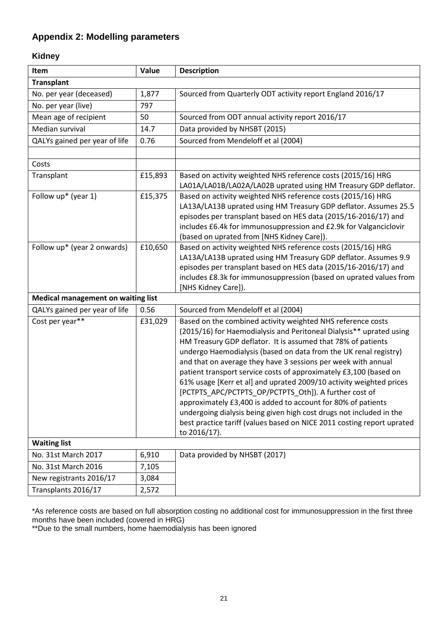## **Appendix 2: Modelling parameters**

## **Kidney**

| Item                                      | Value   | <b>Description</b>                                                                                                                                                                                                                                                                                                                                                                                                                                                                                                                                                                                                                                                                                                                                                            |
|-------------------------------------------|---------|-------------------------------------------------------------------------------------------------------------------------------------------------------------------------------------------------------------------------------------------------------------------------------------------------------------------------------------------------------------------------------------------------------------------------------------------------------------------------------------------------------------------------------------------------------------------------------------------------------------------------------------------------------------------------------------------------------------------------------------------------------------------------------|
| <b>Transplant</b>                         |         |                                                                                                                                                                                                                                                                                                                                                                                                                                                                                                                                                                                                                                                                                                                                                                               |
| No. per year (deceased)                   | 1,877   | Sourced from Quarterly ODT activity report England 2016/17                                                                                                                                                                                                                                                                                                                                                                                                                                                                                                                                                                                                                                                                                                                    |
| No. per year (live)                       | 797     |                                                                                                                                                                                                                                                                                                                                                                                                                                                                                                                                                                                                                                                                                                                                                                               |
| Mean age of recipient                     | 50      | Sourced from ODT annual activity report 2016/17                                                                                                                                                                                                                                                                                                                                                                                                                                                                                                                                                                                                                                                                                                                               |
| Median survival                           | 14.7    | Data provided by NHSBT (2015)                                                                                                                                                                                                                                                                                                                                                                                                                                                                                                                                                                                                                                                                                                                                                 |
| QALYs gained per year of life             | 0.76    | Sourced from Mendeloff et al (2004)                                                                                                                                                                                                                                                                                                                                                                                                                                                                                                                                                                                                                                                                                                                                           |
|                                           |         |                                                                                                                                                                                                                                                                                                                                                                                                                                                                                                                                                                                                                                                                                                                                                                               |
| Costs                                     |         |                                                                                                                                                                                                                                                                                                                                                                                                                                                                                                                                                                                                                                                                                                                                                                               |
| Transplant                                | £15,893 | Based on activity weighted NHS reference costs (2015/16) HRG<br>LA01A/LA01B/LA02A/LA02B uprated using HM Treasury GDP deflator.                                                                                                                                                                                                                                                                                                                                                                                                                                                                                                                                                                                                                                               |
| Follow up* (year 1)                       | £15,375 | Based on activity weighted NHS reference costs (2015/16) HRG<br>LA13A/LA13B uprated using HM Treasury GDP deflator. Assumes 25.5<br>episodes per transplant based on HES data (2015/16-2016/17) and<br>includes £6.4k for immunosuppression and £2.9k for Valganciclovir<br>(based on uprated from [NHS Kidney Care]).                                                                                                                                                                                                                                                                                                                                                                                                                                                        |
| Follow up* (year 2 onwards)               | £10,650 | Based on activity weighted NHS reference costs (2015/16) HRG<br>LA13A/LA13B uprated using HM Treasury GDP deflator. Assumes 9.9<br>episodes per transplant based on HES data (2015/16-2016/17) and<br>includes £8.3k for immunosuppression (based on uprated values from<br>[NHS Kidney Care]).                                                                                                                                                                                                                                                                                                                                                                                                                                                                               |
| <b>Medical management on waiting list</b> |         |                                                                                                                                                                                                                                                                                                                                                                                                                                                                                                                                                                                                                                                                                                                                                                               |
| QALYs gained per year of life             | 0.56    | Sourced from Mendeloff et al (2004)                                                                                                                                                                                                                                                                                                                                                                                                                                                                                                                                                                                                                                                                                                                                           |
| Cost per year**                           | £31,029 | Based on the combined activity weighted NHS reference costs<br>(2015/16) for Haemodialysis and Peritoneal Dialysis** uprated using<br>HM Treasury GDP deflator. It is assumed that 78% of patients<br>undergo Haemodialysis (based on data from the UK renal registry)<br>and that on average they have 3 sessions per week with annual<br>patient transport service costs of approximately £3,100 (based on<br>61% usage [Kerr et al] and uprated 2009/10 activity weighted prices<br>[PCTPTS_APC/PCTPTS_OP/PCTPTS_Oth]). A further cost of<br>approximately £3,400 is added to account for 80% of patients<br>undergoing dialysis being given high cost drugs not included in the<br>best practice tariff (values based on NICE 2011 costing report uprated<br>to 2016/17). |
| <b>Waiting list</b>                       |         |                                                                                                                                                                                                                                                                                                                                                                                                                                                                                                                                                                                                                                                                                                                                                                               |
| No. 31st March 2017                       | 6,910   | Data provided by NHSBT (2017)                                                                                                                                                                                                                                                                                                                                                                                                                                                                                                                                                                                                                                                                                                                                                 |
| No. 31st March 2016                       | 7,105   |                                                                                                                                                                                                                                                                                                                                                                                                                                                                                                                                                                                                                                                                                                                                                                               |
| New registrants 2016/17                   | 3,084   |                                                                                                                                                                                                                                                                                                                                                                                                                                                                                                                                                                                                                                                                                                                                                                               |
| Transplants 2016/17                       | 2,572   |                                                                                                                                                                                                                                                                                                                                                                                                                                                                                                                                                                                                                                                                                                                                                                               |

\*As reference costs are based on full absorption costing no additional cost for immunosuppression in the first three months have been included (covered in HRG)

\*\*Due to the small numbers, home haemodialysis has been ignored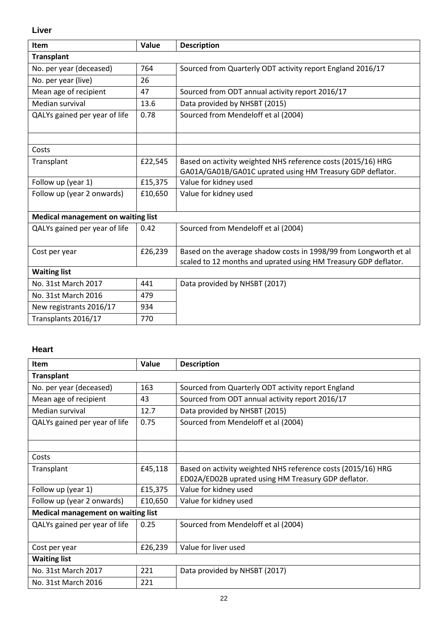**Liver**

| <b>Item</b>                               | Value   | <b>Description</b>                                                |  |  |  |  |
|-------------------------------------------|---------|-------------------------------------------------------------------|--|--|--|--|
| <b>Transplant</b>                         |         |                                                                   |  |  |  |  |
| No. per year (deceased)                   | 764     | Sourced from Quarterly ODT activity report England 2016/17        |  |  |  |  |
| No. per year (live)                       | 26      |                                                                   |  |  |  |  |
| Mean age of recipient                     | 47      | Sourced from ODT annual activity report 2016/17                   |  |  |  |  |
| Median survival                           | 13.6    | Data provided by NHSBT (2015)                                     |  |  |  |  |
| QALYs gained per year of life             | 0.78    | Sourced from Mendeloff et al (2004)                               |  |  |  |  |
|                                           |         |                                                                   |  |  |  |  |
| Costs                                     |         |                                                                   |  |  |  |  |
| Transplant                                | £22,545 | Based on activity weighted NHS reference costs (2015/16) HRG      |  |  |  |  |
|                                           |         | GA01A/GA01B/GA01C uprated using HM Treasury GDP deflator.         |  |  |  |  |
| Follow up (year 1)                        | £15,375 | Value for kidney used                                             |  |  |  |  |
| Follow up (year 2 onwards)                | £10,650 | Value for kidney used                                             |  |  |  |  |
| <b>Medical management on waiting list</b> |         |                                                                   |  |  |  |  |
| QALYs gained per year of life             | 0.42    | Sourced from Mendeloff et al (2004)                               |  |  |  |  |
| Cost per year                             | £26,239 | Based on the average shadow costs in 1998/99 from Longworth et al |  |  |  |  |
|                                           |         | scaled to 12 months and uprated using HM Treasury GDP deflator.   |  |  |  |  |
| <b>Waiting list</b>                       |         |                                                                   |  |  |  |  |
| No. 31st March 2017                       | 441     | Data provided by NHSBT (2017)                                     |  |  |  |  |
| No. 31st March 2016                       | 479     |                                                                   |  |  |  |  |
| New registrants 2016/17                   | 934     |                                                                   |  |  |  |  |
| Transplants 2016/17                       | 770     |                                                                   |  |  |  |  |

## **Heart**

| <b>Item</b>                               | Value   | <b>Description</b>                                           |  |  |  |
|-------------------------------------------|---------|--------------------------------------------------------------|--|--|--|
| <b>Transplant</b>                         |         |                                                              |  |  |  |
| No. per year (deceased)                   | 163     | Sourced from Quarterly ODT activity report England           |  |  |  |
| Mean age of recipient                     | 43      | Sourced from ODT annual activity report 2016/17              |  |  |  |
| Median survival                           | 12.7    | Data provided by NHSBT (2015)                                |  |  |  |
| QALYs gained per year of life             | 0.75    | Sourced from Mendeloff et al (2004)                          |  |  |  |
|                                           |         |                                                              |  |  |  |
|                                           |         |                                                              |  |  |  |
| Costs                                     |         |                                                              |  |  |  |
| Transplant                                | £45,118 | Based on activity weighted NHS reference costs (2015/16) HRG |  |  |  |
|                                           |         | ED02A/ED02B uprated using HM Treasury GDP deflator.          |  |  |  |
| Follow up (year 1)                        | £15,375 | Value for kidney used                                        |  |  |  |
| Follow up (year 2 onwards)                | £10,650 | Value for kidney used                                        |  |  |  |
| <b>Medical management on waiting list</b> |         |                                                              |  |  |  |
| QALYs gained per year of life             | 0.25    | Sourced from Mendeloff et al (2004)                          |  |  |  |
|                                           |         |                                                              |  |  |  |
| Cost per year                             | £26,239 | Value for liver used                                         |  |  |  |
| <b>Waiting list</b>                       |         |                                                              |  |  |  |
| No. 31st March 2017                       | 221     | Data provided by NHSBT (2017)                                |  |  |  |
| No. 31st March 2016                       | 221     |                                                              |  |  |  |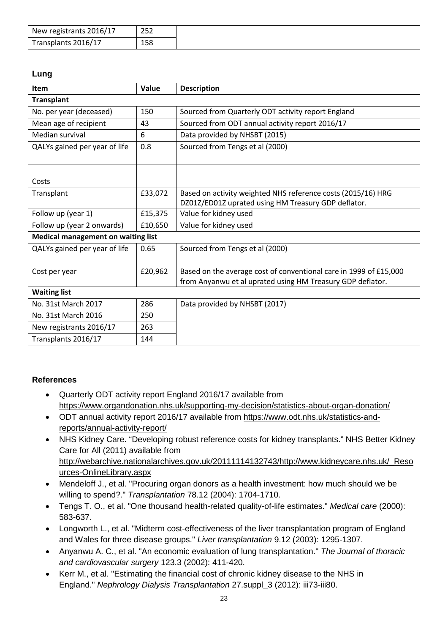| New registrants 2016/17 | 252 |
|-------------------------|-----|
| Transplants 2016/17     | 158 |

**Lung**

| Item                                      | Value   | <b>Description</b>                                                |  |  |  |
|-------------------------------------------|---------|-------------------------------------------------------------------|--|--|--|
| <b>Transplant</b>                         |         |                                                                   |  |  |  |
| No. per year (deceased)                   | 150     | Sourced from Quarterly ODT activity report England                |  |  |  |
| Mean age of recipient                     | 43      | Sourced from ODT annual activity report 2016/17                   |  |  |  |
| Median survival                           | 6       | Data provided by NHSBT (2015)                                     |  |  |  |
| QALYs gained per year of life             | 0.8     | Sourced from Tengs et al (2000)                                   |  |  |  |
|                                           |         |                                                                   |  |  |  |
| Costs                                     |         |                                                                   |  |  |  |
| Transplant                                | £33,072 | Based on activity weighted NHS reference costs (2015/16) HRG      |  |  |  |
|                                           |         | DZ01Z/ED01Z uprated using HM Treasury GDP deflator.               |  |  |  |
| Follow up (year 1)                        | £15,375 | Value for kidney used                                             |  |  |  |
| Follow up (year 2 onwards)                | £10,650 | Value for kidney used                                             |  |  |  |
| <b>Medical management on waiting list</b> |         |                                                                   |  |  |  |
| QALYs gained per year of life             | 0.65    | Sourced from Tengs et al (2000)                                   |  |  |  |
| Cost per year                             | £20,962 | Based on the average cost of conventional care in 1999 of £15,000 |  |  |  |
|                                           |         | from Anyanwu et al uprated using HM Treasury GDP deflator.        |  |  |  |
| <b>Waiting list</b>                       |         |                                                                   |  |  |  |
| No. 31st March 2017                       | 286     | Data provided by NHSBT (2017)                                     |  |  |  |
| No. 31st March 2016                       | 250     |                                                                   |  |  |  |
| New registrants 2016/17                   | 263     |                                                                   |  |  |  |
| Transplants 2016/17                       | 144     |                                                                   |  |  |  |

#### **References**

- Quarterly ODT activity report England 2016/17 available from <https://www.organdonation.nhs.uk/supporting-my-decision/statistics-about-organ-donation/>
- ODT annual activity report 2016/17 available from [https://www.odt.nhs.uk/statistics-and](https://www.odt.nhs.uk/statistics-and-reports/annual-activity-report/)[reports/annual-activity-report/](https://www.odt.nhs.uk/statistics-and-reports/annual-activity-report/)
- NHS Kidney Care. "Developing robust reference costs for kidney transplants." NHS Better Kidney Care for All (2011) available from [http://webarchive.nationalarchives.gov.uk/20111114132743/http://www.kidneycare.nhs.uk/\\_Reso](http://webarchive.nationalarchives.gov.uk/20111114132743/http:/www.kidneycare.nhs.uk/_Resources-OnlineLibrary.aspx) [urces-OnlineLibrary.aspx](http://webarchive.nationalarchives.gov.uk/20111114132743/http:/www.kidneycare.nhs.uk/_Resources-OnlineLibrary.aspx)
- Mendeloff J., et al. "Procuring organ donors as a health investment: how much should we be willing to spend?." *Transplantation* 78.12 (2004): 1704-1710.
- Tengs T. O., et al. "One thousand health-related quality-of-life estimates." *Medical care* (2000): 583-637.
- Longworth L., et al. "Midterm cost-effectiveness of the liver transplantation program of England and Wales for three disease groups." *Liver transplantation* 9.12 (2003): 1295-1307.
- Anyanwu A. C., et al. "An economic evaluation of lung transplantation." *The Journal of thoracic and cardiovascular surgery* 123.3 (2002): 411-420.
- Kerr M., et al. "Estimating the financial cost of chronic kidney disease to the NHS in England." *Nephrology Dialysis Transplantation* 27.suppl\_3 (2012): iii73-iii80.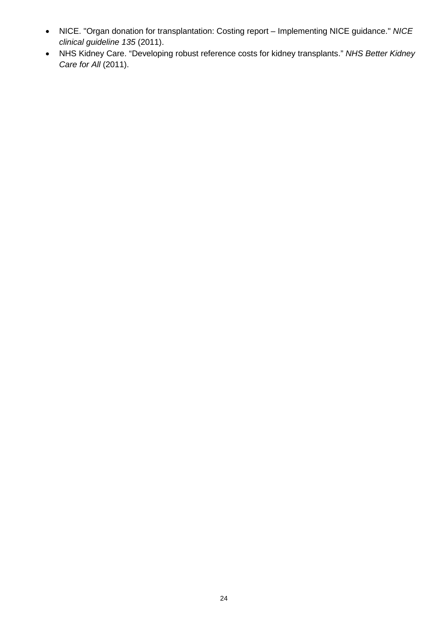- NICE. "Organ donation for transplantation: Costing report Implementing NICE guidance." *NICE clinical guideline 135* (2011).
- NHS Kidney Care. "Developing robust reference costs for kidney transplants." *NHS Better Kidney Care for All* (2011).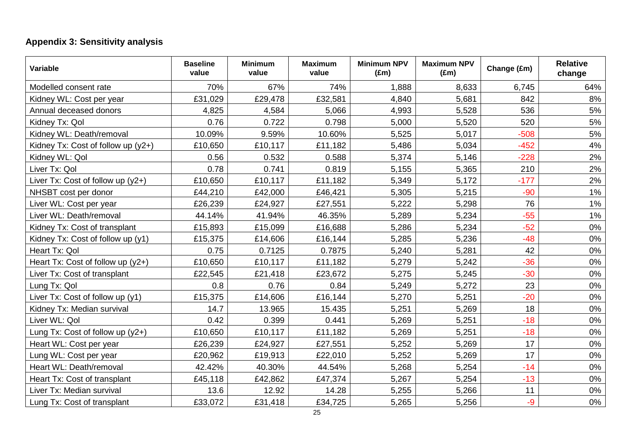## **Appendix 3: Sensitivity analysis**

| Variable                           | <b>Baseline</b><br>value | <b>Minimum</b><br>value | <b>Maximum</b><br>value | <b>Minimum NPV</b><br>$(\text{Em})$ | <b>Maximum NPV</b><br>$(\text{Em})$ | Change (£m) | <b>Relative</b><br>change |
|------------------------------------|--------------------------|-------------------------|-------------------------|-------------------------------------|-------------------------------------|-------------|---------------------------|
| Modelled consent rate              | 70%                      | 67%                     | 74%                     | 1,888                               | 8,633                               | 6,745       | 64%                       |
| Kidney WL: Cost per year           | £31,029                  | £29,478                 | £32,581                 | 4,840                               | 5,681                               | 842         | 8%                        |
| Annual deceased donors             | 4,825                    | 4,584                   | 5,066                   | 4,993                               | 5,528                               | 536         | 5%                        |
| Kidney Tx: Qol                     | 0.76                     | 0.722                   | 0.798                   | 5,000                               | 5,520                               | 520         | 5%                        |
| Kidney WL: Death/removal           | 10.09%                   | 9.59%                   | 10.60%                  | 5,525                               | 5,017                               | $-508$      | 5%                        |
| Kidney Tx: Cost of follow up (y2+) | £10,650                  | £10,117                 | £11,182                 | 5,486                               | 5,034                               | $-452$      | 4%                        |
| Kidney WL: Qol                     | 0.56                     | 0.532                   | 0.588                   | 5,374                               | 5,146                               | $-228$      | 2%                        |
| Liver Tx: Qol                      | 0.78                     | 0.741                   | 0.819                   | 5,155                               | 5,365                               | 210         | 2%                        |
| Liver Tx: Cost of follow up (y2+)  | £10,650                  | £10,117                 | £11,182                 | 5,349                               | 5,172                               | $-177$      | 2%                        |
| NHSBT cost per donor               | £44,210                  | £42,000                 | £46,421                 | 5,305                               | 5,215                               | $-90$       | 1%                        |
| Liver WL: Cost per year            | £26,239                  | £24,927                 | £27,551                 | 5,222                               | 5,298                               | 76          | 1%                        |
| Liver WL: Death/removal            | 44.14%                   | 41.94%                  | 46.35%                  | 5,289                               | 5,234                               | $-55$       | $1\%$                     |
| Kidney Tx: Cost of transplant      | £15,893                  | £15,099                 | £16,688                 | 5,286                               | 5,234                               | $-52$       | 0%                        |
| Kidney Tx: Cost of follow up (y1)  | £15,375                  | £14,606                 | £16,144                 | 5,285                               | 5,236                               | $-48$       | 0%                        |
| Heart Tx: Qol                      | 0.75                     | 0.7125                  | 0.7875                  | 5,240                               | 5,281                               | 42          | 0%                        |
| Heart Tx: Cost of follow up (y2+)  | £10,650                  | £10,117                 | £11,182                 | 5,279                               | 5,242                               | $-36$       | 0%                        |
| Liver Tx: Cost of transplant       | £22,545                  | £21,418                 | £23,672                 | 5,275                               | 5,245                               | $-30$       | 0%                        |
| Lung Tx: Qol                       | 0.8                      | 0.76                    | 0.84                    | 5,249                               | 5,272                               | 23          | 0%                        |
| Liver Tx: Cost of follow up (y1)   | £15,375                  | £14,606                 | £16,144                 | 5,270                               | 5,251                               | $-20$       | 0%                        |
| Kidney Tx: Median survival         | 14.7                     | 13.965                  | 15.435                  | 5,251                               | 5,269                               | 18          | 0%                        |
| Liver WL: Qol                      | 0.42                     | 0.399                   | 0.441                   | 5,269                               | 5,251                               | $-18$       | $0\%$                     |
| Lung Tx: Cost of follow up $(y2+)$ | £10,650                  | £10,117                 | £11,182                 | 5,269                               | 5,251                               | $-18$       | $0\%$                     |
| Heart WL: Cost per year            | £26,239                  | £24,927                 | £27,551                 | 5,252                               | 5,269                               | 17          | 0%                        |
| Lung WL: Cost per year             | £20,962                  | £19,913                 | £22,010                 | 5,252                               | 5,269                               | 17          | 0%                        |
| Heart WL: Death/removal            | 42.42%                   | 40.30%                  | 44.54%                  | 5,268                               | 5,254                               | $-14$       | 0%                        |
| Heart Tx: Cost of transplant       | £45,118                  | £42,862                 | £47,374                 | 5,267                               | 5,254                               | $-13$       | 0%                        |
| Liver Tx: Median survival          | 13.6                     | 12.92                   | 14.28                   | 5,255                               | 5,266                               | 11          | 0%                        |
| Lung Tx: Cost of transplant        | £33,072                  | £31,418                 | £34,725                 | 5,265                               | 5,256                               | $-9$        | $0\%$                     |